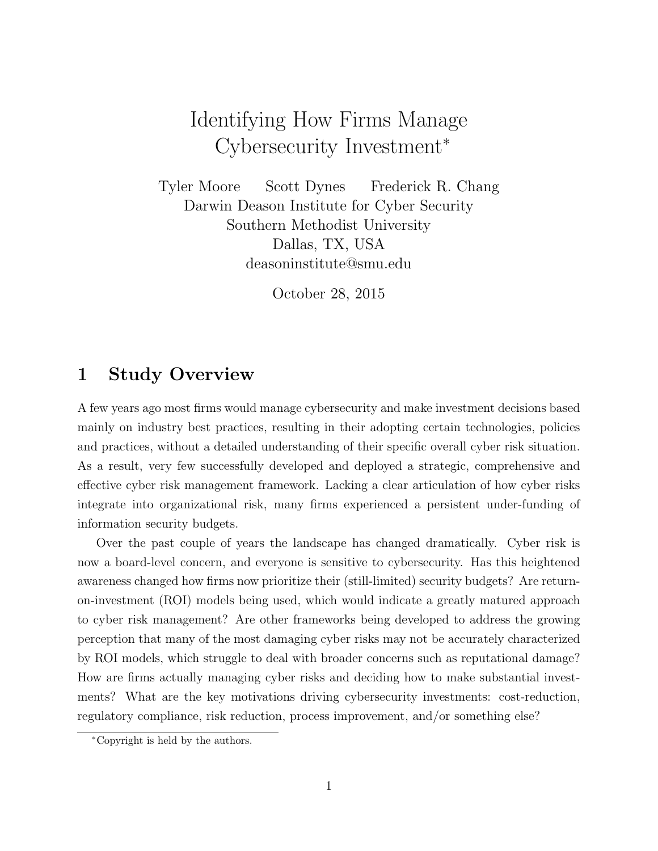# Identifying How Firms Manage Cybersecurity Investment<sup>∗</sup>

Tyler Moore Scott Dynes Frederick R. Chang Darwin Deason Institute for Cyber Security Southern Methodist University Dallas, TX, USA deasoninstitute@smu.edu

October 28, 2015

### 1 Study Overview

A few years ago most firms would manage cybersecurity and make investment decisions based mainly on industry best practices, resulting in their adopting certain technologies, policies and practices, without a detailed understanding of their specific overall cyber risk situation. As a result, very few successfully developed and deployed a strategic, comprehensive and effective cyber risk management framework. Lacking a clear articulation of how cyber risks integrate into organizational risk, many firms experienced a persistent under-funding of information security budgets.

Over the past couple of years the landscape has changed dramatically. Cyber risk is now a board-level concern, and everyone is sensitive to cybersecurity. Has this heightened awareness changed how firms now prioritize their (still-limited) security budgets? Are returnon-investment (ROI) models being used, which would indicate a greatly matured approach to cyber risk management? Are other frameworks being developed to address the growing perception that many of the most damaging cyber risks may not be accurately characterized by ROI models, which struggle to deal with broader concerns such as reputational damage? How are firms actually managing cyber risks and deciding how to make substantial investments? What are the key motivations driving cybersecurity investments: cost-reduction, regulatory compliance, risk reduction, process improvement, and/or something else?

<sup>∗</sup>Copyright is held by the authors.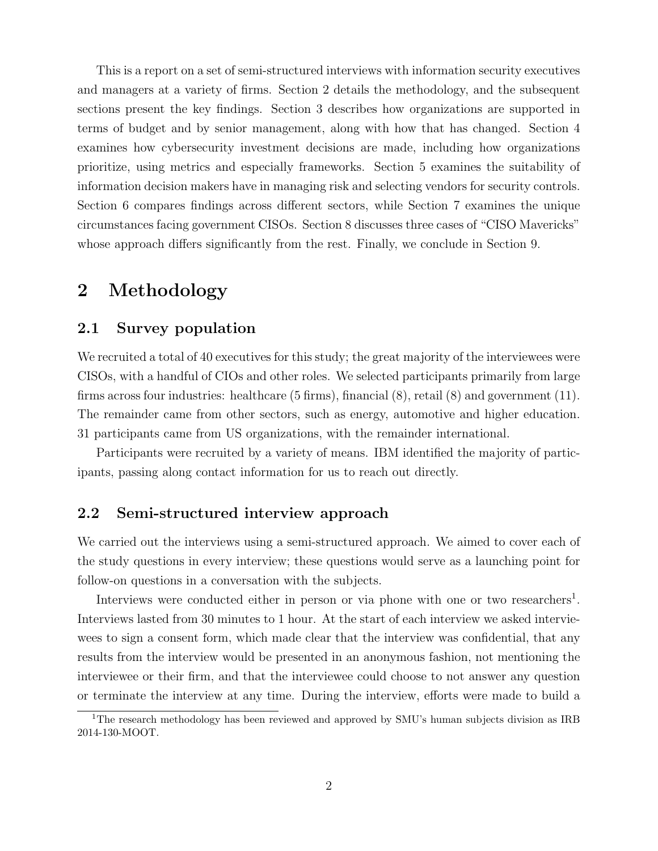This is a report on a set of semi-structured interviews with information security executives and managers at a variety of firms. Section 2 details the methodology, and the subsequent sections present the key findings. Section 3 describes how organizations are supported in terms of budget and by senior management, along with how that has changed. Section 4 examines how cybersecurity investment decisions are made, including how organizations prioritize, using metrics and especially frameworks. Section 5 examines the suitability of information decision makers have in managing risk and selecting vendors for security controls. Section 6 compares findings across different sectors, while Section 7 examines the unique circumstances facing government CISOs. Section 8 discusses three cases of "CISO Mavericks" whose approach differs significantly from the rest. Finally, we conclude in Section 9.

### 2 Methodology

### 2.1 Survey population

We recruited a total of 40 executives for this study; the great majority of the interviewees were CISOs, with a handful of CIOs and other roles. We selected participants primarily from large firms across four industries: healthcare (5 firms), financial (8), retail (8) and government (11). The remainder came from other sectors, such as energy, automotive and higher education. 31 participants came from US organizations, with the remainder international.

Participants were recruited by a variety of means. IBM identified the majority of participants, passing along contact information for us to reach out directly.

### 2.2 Semi-structured interview approach

We carried out the interviews using a semi-structured approach. We aimed to cover each of the study questions in every interview; these questions would serve as a launching point for follow-on questions in a conversation with the subjects.

Interviews were conducted either in person or via phone with one or two researchers<sup>1</sup>. Interviews lasted from 30 minutes to 1 hour. At the start of each interview we asked interviewees to sign a consent form, which made clear that the interview was confidential, that any results from the interview would be presented in an anonymous fashion, not mentioning the interviewee or their firm, and that the interviewee could choose to not answer any question or terminate the interview at any time. During the interview, efforts were made to build a

<sup>&</sup>lt;sup>1</sup>The research methodology has been reviewed and approved by SMU's human subjects division as IRB 2014-130-MOOT.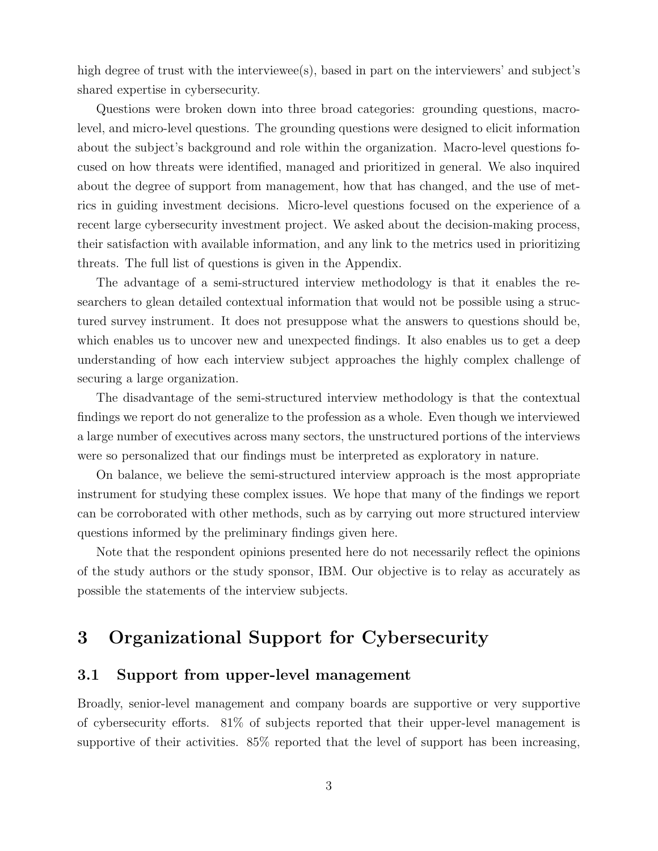high degree of trust with the interviewee(s), based in part on the interviewers' and subject's shared expertise in cybersecurity.

Questions were broken down into three broad categories: grounding questions, macrolevel, and micro-level questions. The grounding questions were designed to elicit information about the subject's background and role within the organization. Macro-level questions focused on how threats were identified, managed and prioritized in general. We also inquired about the degree of support from management, how that has changed, and the use of metrics in guiding investment decisions. Micro-level questions focused on the experience of a recent large cybersecurity investment project. We asked about the decision-making process, their satisfaction with available information, and any link to the metrics used in prioritizing threats. The full list of questions is given in the Appendix.

The advantage of a semi-structured interview methodology is that it enables the researchers to glean detailed contextual information that would not be possible using a structured survey instrument. It does not presuppose what the answers to questions should be, which enables us to uncover new and unexpected findings. It also enables us to get a deep understanding of how each interview subject approaches the highly complex challenge of securing a large organization.

The disadvantage of the semi-structured interview methodology is that the contextual findings we report do not generalize to the profession as a whole. Even though we interviewed a large number of executives across many sectors, the unstructured portions of the interviews were so personalized that our findings must be interpreted as exploratory in nature.

On balance, we believe the semi-structured interview approach is the most appropriate instrument for studying these complex issues. We hope that many of the findings we report can be corroborated with other methods, such as by carrying out more structured interview questions informed by the preliminary findings given here.

Note that the respondent opinions presented here do not necessarily reflect the opinions of the study authors or the study sponsor, IBM. Our objective is to relay as accurately as possible the statements of the interview subjects.

### 3 Organizational Support for Cybersecurity

#### 3.1 Support from upper-level management

Broadly, senior-level management and company boards are supportive or very supportive of cybersecurity efforts. 81% of subjects reported that their upper-level management is supportive of their activities. 85% reported that the level of support has been increasing,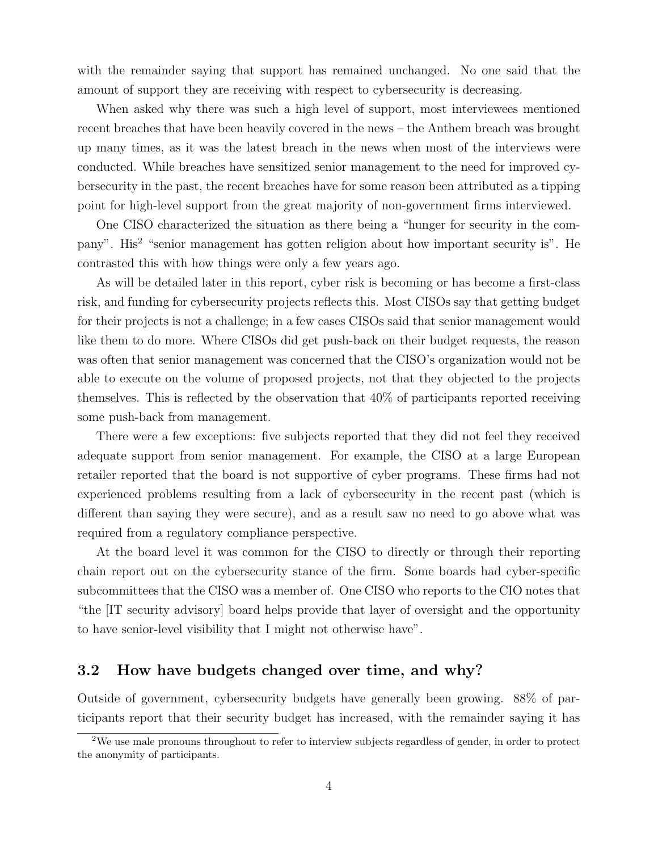with the remainder saying that support has remained unchanged. No one said that the amount of support they are receiving with respect to cybersecurity is decreasing.

When asked why there was such a high level of support, most interviewees mentioned recent breaches that have been heavily covered in the news – the Anthem breach was brought up many times, as it was the latest breach in the news when most of the interviews were conducted. While breaches have sensitized senior management to the need for improved cybersecurity in the past, the recent breaches have for some reason been attributed as a tipping point for high-level support from the great majority of non-government firms interviewed.

One CISO characterized the situation as there being a "hunger for security in the company". His<sup>2</sup> "senior management has gotten religion about how important security is". He contrasted this with how things were only a few years ago.

As will be detailed later in this report, cyber risk is becoming or has become a first-class risk, and funding for cybersecurity projects reflects this. Most CISOs say that getting budget for their projects is not a challenge; in a few cases CISOs said that senior management would like them to do more. Where CISOs did get push-back on their budget requests, the reason was often that senior management was concerned that the CISO's organization would not be able to execute on the volume of proposed projects, not that they objected to the projects themselves. This is reflected by the observation that 40% of participants reported receiving some push-back from management.

There were a few exceptions: five subjects reported that they did not feel they received adequate support from senior management. For example, the CISO at a large European retailer reported that the board is not supportive of cyber programs. These firms had not experienced problems resulting from a lack of cybersecurity in the recent past (which is different than saying they were secure), and as a result saw no need to go above what was required from a regulatory compliance perspective.

At the board level it was common for the CISO to directly or through their reporting chain report out on the cybersecurity stance of the firm. Some boards had cyber-specific subcommittees that the CISO was a member of. One CISO who reports to the CIO notes that "the [IT security advisory] board helps provide that layer of oversight and the opportunity to have senior-level visibility that I might not otherwise have".

### 3.2 How have budgets changed over time, and why?

Outside of government, cybersecurity budgets have generally been growing. 88% of participants report that their security budget has increased, with the remainder saying it has

<sup>2</sup>We use male pronouns throughout to refer to interview subjects regardless of gender, in order to protect the anonymity of participants.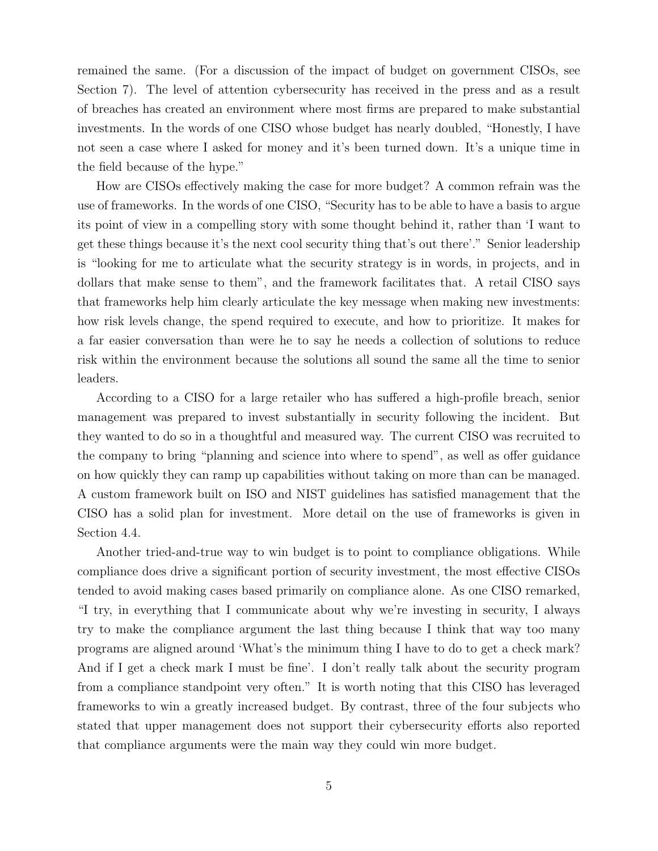remained the same. (For a discussion of the impact of budget on government CISOs, see Section 7). The level of attention cybersecurity has received in the press and as a result of breaches has created an environment where most firms are prepared to make substantial investments. In the words of one CISO whose budget has nearly doubled, "Honestly, I have not seen a case where I asked for money and it's been turned down. It's a unique time in the field because of the hype."

How are CISOs effectively making the case for more budget? A common refrain was the use of frameworks. In the words of one CISO, "Security has to be able to have a basis to argue its point of view in a compelling story with some thought behind it, rather than 'I want to get these things because it's the next cool security thing that's out there'." Senior leadership is "looking for me to articulate what the security strategy is in words, in projects, and in dollars that make sense to them", and the framework facilitates that. A retail CISO says that frameworks help him clearly articulate the key message when making new investments: how risk levels change, the spend required to execute, and how to prioritize. It makes for a far easier conversation than were he to say he needs a collection of solutions to reduce risk within the environment because the solutions all sound the same all the time to senior leaders.

According to a CISO for a large retailer who has suffered a high-profile breach, senior management was prepared to invest substantially in security following the incident. But they wanted to do so in a thoughtful and measured way. The current CISO was recruited to the company to bring "planning and science into where to spend", as well as offer guidance on how quickly they can ramp up capabilities without taking on more than can be managed. A custom framework built on ISO and NIST guidelines has satisfied management that the CISO has a solid plan for investment. More detail on the use of frameworks is given in Section 4.4.

Another tried-and-true way to win budget is to point to compliance obligations. While compliance does drive a significant portion of security investment, the most effective CISOs tended to avoid making cases based primarily on compliance alone. As one CISO remarked, "I try, in everything that I communicate about why we're investing in security, I always try to make the compliance argument the last thing because I think that way too many programs are aligned around 'What's the minimum thing I have to do to get a check mark? And if I get a check mark I must be fine'. I don't really talk about the security program from a compliance standpoint very often." It is worth noting that this CISO has leveraged frameworks to win a greatly increased budget. By contrast, three of the four subjects who stated that upper management does not support their cybersecurity efforts also reported that compliance arguments were the main way they could win more budget.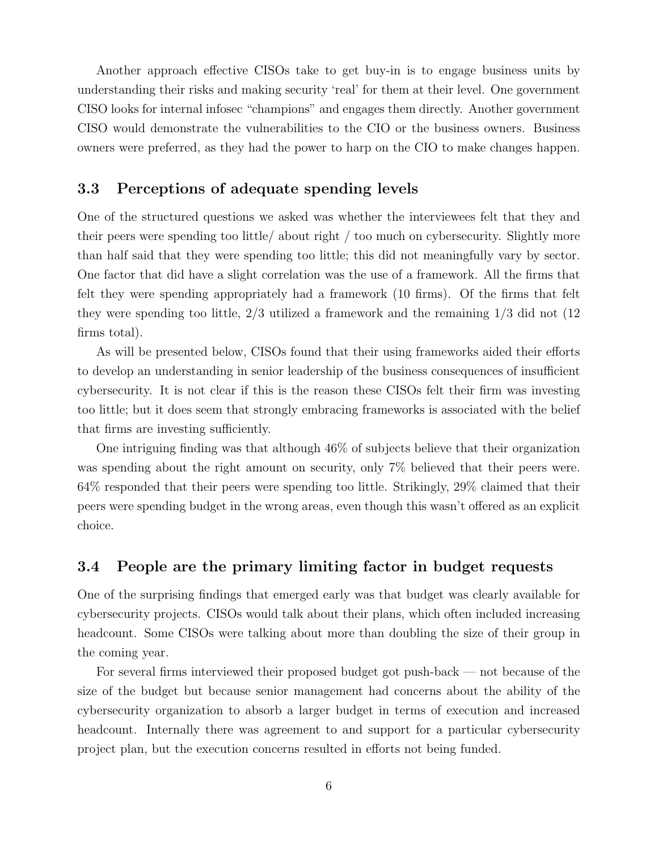Another approach effective CISOs take to get buy-in is to engage business units by understanding their risks and making security 'real' for them at their level. One government CISO looks for internal infosec "champions" and engages them directly. Another government CISO would demonstrate the vulnerabilities to the CIO or the business owners. Business owners were preferred, as they had the power to harp on the CIO to make changes happen.

### 3.3 Perceptions of adequate spending levels

One of the structured questions we asked was whether the interviewees felt that they and their peers were spending too little/ about right / too much on cybersecurity. Slightly more than half said that they were spending too little; this did not meaningfully vary by sector. One factor that did have a slight correlation was the use of a framework. All the firms that felt they were spending appropriately had a framework (10 firms). Of the firms that felt they were spending too little, 2/3 utilized a framework and the remaining 1/3 did not (12 firms total).

As will be presented below, CISOs found that their using frameworks aided their efforts to develop an understanding in senior leadership of the business consequences of insufficient cybersecurity. It is not clear if this is the reason these CISOs felt their firm was investing too little; but it does seem that strongly embracing frameworks is associated with the belief that firms are investing sufficiently.

One intriguing finding was that although 46% of subjects believe that their organization was spending about the right amount on security, only 7% believed that their peers were. 64% responded that their peers were spending too little. Strikingly, 29% claimed that their peers were spending budget in the wrong areas, even though this wasn't offered as an explicit choice.

### 3.4 People are the primary limiting factor in budget requests

One of the surprising findings that emerged early was that budget was clearly available for cybersecurity projects. CISOs would talk about their plans, which often included increasing headcount. Some CISOs were talking about more than doubling the size of their group in the coming year.

For several firms interviewed their proposed budget got push-back — not because of the size of the budget but because senior management had concerns about the ability of the cybersecurity organization to absorb a larger budget in terms of execution and increased headcount. Internally there was agreement to and support for a particular cybersecurity project plan, but the execution concerns resulted in efforts not being funded.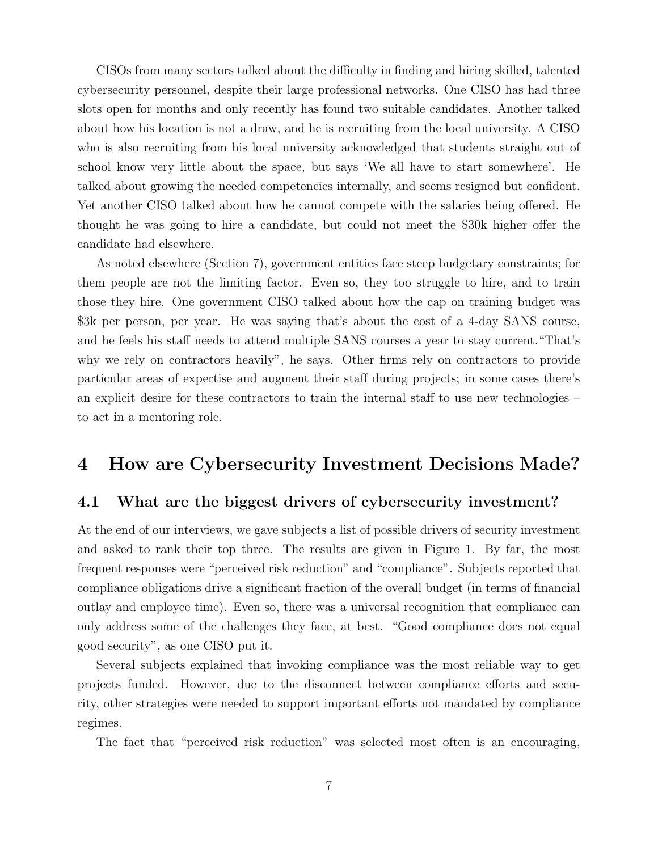CISOs from many sectors talked about the difficulty in finding and hiring skilled, talented cybersecurity personnel, despite their large professional networks. One CISO has had three slots open for months and only recently has found two suitable candidates. Another talked about how his location is not a draw, and he is recruiting from the local university. A CISO who is also recruiting from his local university acknowledged that students straight out of school know very little about the space, but says 'We all have to start somewhere'. He talked about growing the needed competencies internally, and seems resigned but confident. Yet another CISO talked about how he cannot compete with the salaries being offered. He thought he was going to hire a candidate, but could not meet the \$30k higher offer the candidate had elsewhere.

As noted elsewhere (Section 7), government entities face steep budgetary constraints; for them people are not the limiting factor. Even so, they too struggle to hire, and to train those they hire. One government CISO talked about how the cap on training budget was \$3k per person, per year. He was saying that's about the cost of a 4-day SANS course, and he feels his staff needs to attend multiple SANS courses a year to stay current."That's why we rely on contractors heavily", he says. Other firms rely on contractors to provide particular areas of expertise and augment their staff during projects; in some cases there's an explicit desire for these contractors to train the internal staff to use new technologies – to act in a mentoring role.

### 4 How are Cybersecurity Investment Decisions Made?

#### 4.1 What are the biggest drivers of cybersecurity investment?

At the end of our interviews, we gave subjects a list of possible drivers of security investment and asked to rank their top three. The results are given in Figure 1. By far, the most frequent responses were "perceived risk reduction" and "compliance". Subjects reported that compliance obligations drive a significant fraction of the overall budget (in terms of financial outlay and employee time). Even so, there was a universal recognition that compliance can only address some of the challenges they face, at best. "Good compliance does not equal good security", as one CISO put it.

Several subjects explained that invoking compliance was the most reliable way to get projects funded. However, due to the disconnect between compliance efforts and security, other strategies were needed to support important efforts not mandated by compliance regimes.

The fact that "perceived risk reduction" was selected most often is an encouraging,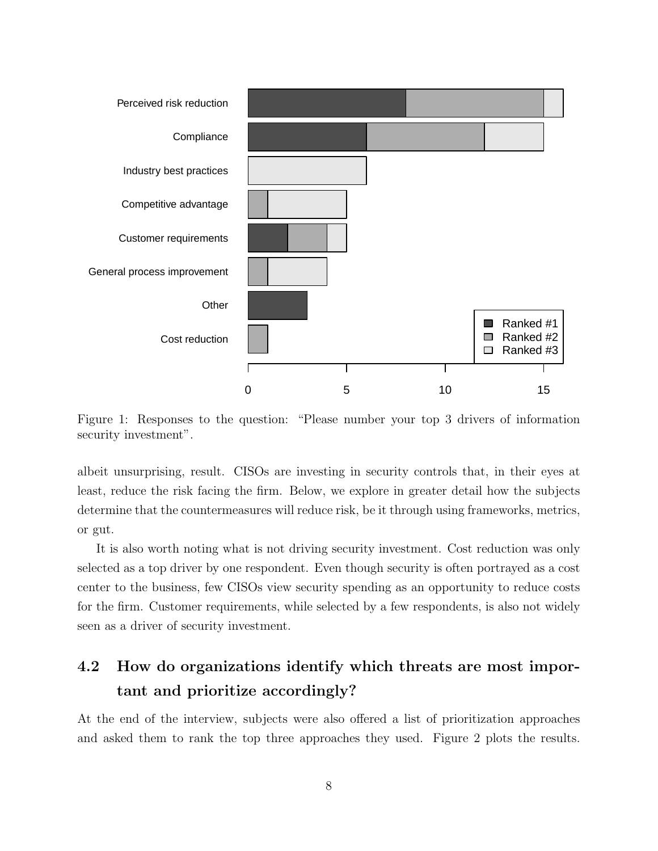

Figure 1: Responses to the question: "Please number your top 3 drivers of information security investment".

albeit unsurprising, result. CISOs are investing in security controls that, in their eyes at least, reduce the risk facing the firm. Below, we explore in greater detail how the subjects determine that the countermeasures will reduce risk, be it through using frameworks, metrics, or gut.

It is also worth noting what is not driving security investment. Cost reduction was only selected as a top driver by one respondent. Even though security is often portrayed as a cost center to the business, few CISOs view security spending as an opportunity to reduce costs for the firm. Customer requirements, while selected by a few respondents, is also not widely seen as a driver of security investment.

# 4.2 How do organizations identify which threats are most important and prioritize accordingly?

At the end of the interview, subjects were also offered a list of prioritization approaches and asked them to rank the top three approaches they used. Figure 2 plots the results.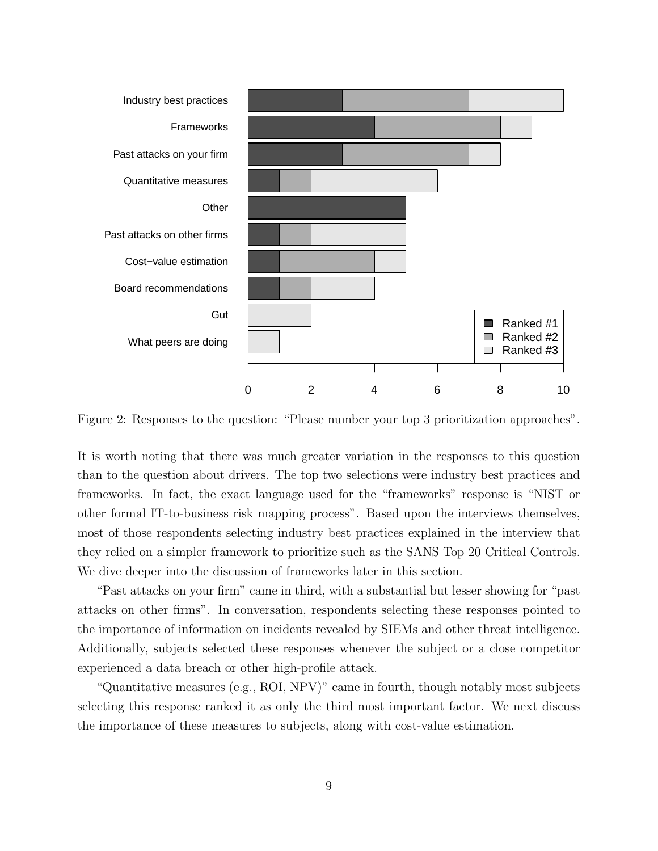

Figure 2: Responses to the question: "Please number your top 3 prioritization approaches".

It is worth noting that there was much greater variation in the responses to this question than to the question about drivers. The top two selections were industry best practices and frameworks. In fact, the exact language used for the "frameworks" response is "NIST or other formal IT-to-business risk mapping process". Based upon the interviews themselves, most of those respondents selecting industry best practices explained in the interview that they relied on a simpler framework to prioritize such as the SANS Top 20 Critical Controls. We dive deeper into the discussion of frameworks later in this section.

"Past attacks on your firm" came in third, with a substantial but lesser showing for "past attacks on other firms". In conversation, respondents selecting these responses pointed to the importance of information on incidents revealed by SIEMs and other threat intelligence. Additionally, subjects selected these responses whenever the subject or a close competitor experienced a data breach or other high-profile attack.

"Quantitative measures (e.g., ROI, NPV)" came in fourth, though notably most subjects selecting this response ranked it as only the third most important factor. We next discuss the importance of these measures to subjects, along with cost-value estimation.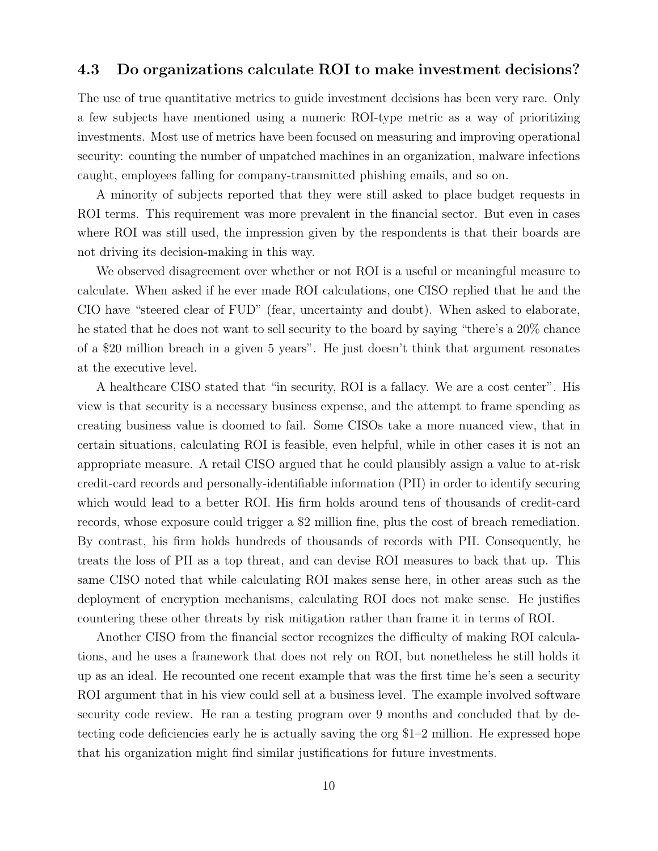#### 4.3 Do organizations calculate ROI to make investment decisions?

The use of true quantitative metrics to guide investment decisions has been very rare. Only a few subjects have mentioned using a numeric ROI-type metric as a way of prioritizing investments. Most use of metrics have been focused on measuring and improving operational security: counting the number of unpatched machines in an organization, malware infections caught, employees falling for company-transmitted phishing emails, and so on.

A minority of subjects reported that they were still asked to place budget requests in ROI terms. This requirement was more prevalent in the financial sector. But even in cases where ROI was still used, the impression given by the respondents is that their boards are not driving its decision-making in this way.

We observed disagreement over whether or not ROI is a useful or meaningful measure to calculate. When asked if he ever made ROI calculations, one CISO replied that he and the CIO have "steered clear of FUD" (fear, uncertainty and doubt). When asked to elaborate, he stated that he does not want to sell security to the board by saying "there's a 20% chance of a \$20 million breach in a given 5 years". He just doesn't think that argument resonates at the executive level.

A healthcare CISO stated that "in security, ROI is a fallacy. We are a cost center". His view is that security is a necessary business expense, and the attempt to frame spending as creating business value is doomed to fail. Some CISOs take a more nuanced view, that in certain situations, calculating ROI is feasible, even helpful, while in other cases it is not an appropriate measure. A retail CISO argued that he could plausibly assign a value to at-risk credit-card records and personally-identifiable information (PII) in order to identify securing which would lead to a better ROI. His firm holds around tens of thousands of credit-card records, whose exposure could trigger a \$2 million fine, plus the cost of breach remediation. By contrast, his firm holds hundreds of thousands of records with PII. Consequently, he treats the loss of PII as a top threat, and can devise ROI measures to back that up. This same CISO noted that while calculating ROI makes sense here, in other areas such as the deployment of encryption mechanisms, calculating ROI does not make sense. He justifies countering these other threats by risk mitigation rather than frame it in terms of ROI.

Another CISO from the financial sector recognizes the difficulty of making ROI calculations, and he uses a framework that does not rely on ROI, but nonetheless he still holds it up as an ideal. He recounted one recent example that was the first time he's seen a security ROI argument that in his view could sell at a business level. The example involved software security code review. He ran a testing program over 9 months and concluded that by detecting code deficiencies early he is actually saving the org \$1–2 million. He expressed hope that his organization might find similar justifications for future investments.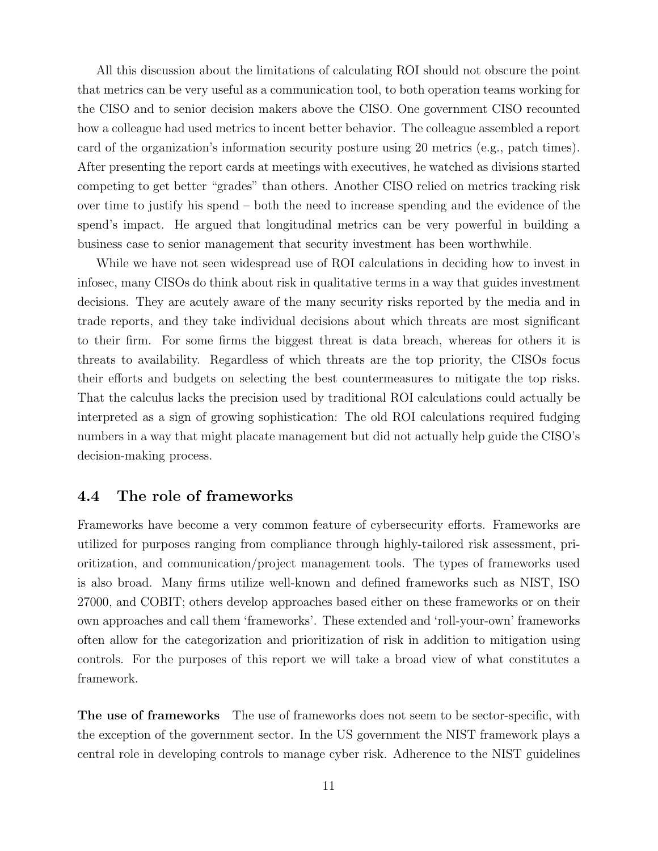All this discussion about the limitations of calculating ROI should not obscure the point that metrics can be very useful as a communication tool, to both operation teams working for the CISO and to senior decision makers above the CISO. One government CISO recounted how a colleague had used metrics to incent better behavior. The colleague assembled a report card of the organization's information security posture using 20 metrics (e.g., patch times). After presenting the report cards at meetings with executives, he watched as divisions started competing to get better "grades" than others. Another CISO relied on metrics tracking risk over time to justify his spend – both the need to increase spending and the evidence of the spend's impact. He argued that longitudinal metrics can be very powerful in building a business case to senior management that security investment has been worthwhile.

While we have not seen widespread use of ROI calculations in deciding how to invest in infosec, many CISOs do think about risk in qualitative terms in a way that guides investment decisions. They are acutely aware of the many security risks reported by the media and in trade reports, and they take individual decisions about which threats are most significant to their firm. For some firms the biggest threat is data breach, whereas for others it is threats to availability. Regardless of which threats are the top priority, the CISOs focus their efforts and budgets on selecting the best countermeasures to mitigate the top risks. That the calculus lacks the precision used by traditional ROI calculations could actually be interpreted as a sign of growing sophistication: The old ROI calculations required fudging numbers in a way that might placate management but did not actually help guide the CISO's decision-making process.

### 4.4 The role of frameworks

Frameworks have become a very common feature of cybersecurity efforts. Frameworks are utilized for purposes ranging from compliance through highly-tailored risk assessment, prioritization, and communication/project management tools. The types of frameworks used is also broad. Many firms utilize well-known and defined frameworks such as NIST, ISO 27000, and COBIT; others develop approaches based either on these frameworks or on their own approaches and call them 'frameworks'. These extended and 'roll-your-own' frameworks often allow for the categorization and prioritization of risk in addition to mitigation using controls. For the purposes of this report we will take a broad view of what constitutes a framework.

The use of frameworks The use of frameworks does not seem to be sector-specific, with the exception of the government sector. In the US government the NIST framework plays a central role in developing controls to manage cyber risk. Adherence to the NIST guidelines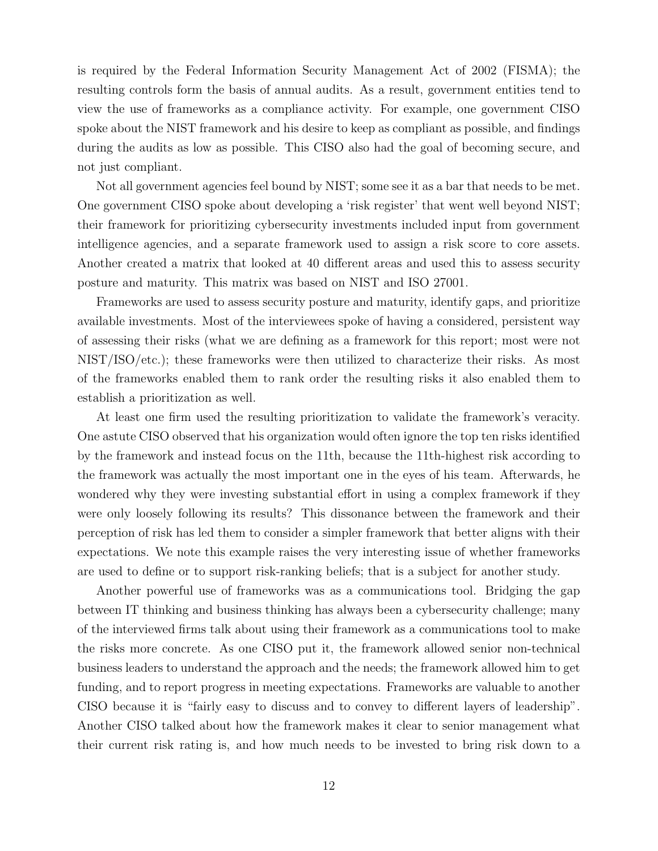is required by the Federal Information Security Management Act of 2002 (FISMA); the resulting controls form the basis of annual audits. As a result, government entities tend to view the use of frameworks as a compliance activity. For example, one government CISO spoke about the NIST framework and his desire to keep as compliant as possible, and findings during the audits as low as possible. This CISO also had the goal of becoming secure, and not just compliant.

Not all government agencies feel bound by NIST; some see it as a bar that needs to be met. One government CISO spoke about developing a 'risk register' that went well beyond NIST; their framework for prioritizing cybersecurity investments included input from government intelligence agencies, and a separate framework used to assign a risk score to core assets. Another created a matrix that looked at 40 different areas and used this to assess security posture and maturity. This matrix was based on NIST and ISO 27001.

Frameworks are used to assess security posture and maturity, identify gaps, and prioritize available investments. Most of the interviewees spoke of having a considered, persistent way of assessing their risks (what we are defining as a framework for this report; most were not NIST/ISO/etc.); these frameworks were then utilized to characterize their risks. As most of the frameworks enabled them to rank order the resulting risks it also enabled them to establish a prioritization as well.

At least one firm used the resulting prioritization to validate the framework's veracity. One astute CISO observed that his organization would often ignore the top ten risks identified by the framework and instead focus on the 11th, because the 11th-highest risk according to the framework was actually the most important one in the eyes of his team. Afterwards, he wondered why they were investing substantial effort in using a complex framework if they were only loosely following its results? This dissonance between the framework and their perception of risk has led them to consider a simpler framework that better aligns with their expectations. We note this example raises the very interesting issue of whether frameworks are used to define or to support risk-ranking beliefs; that is a subject for another study.

Another powerful use of frameworks was as a communications tool. Bridging the gap between IT thinking and business thinking has always been a cybersecurity challenge; many of the interviewed firms talk about using their framework as a communications tool to make the risks more concrete. As one CISO put it, the framework allowed senior non-technical business leaders to understand the approach and the needs; the framework allowed him to get funding, and to report progress in meeting expectations. Frameworks are valuable to another CISO because it is "fairly easy to discuss and to convey to different layers of leadership". Another CISO talked about how the framework makes it clear to senior management what their current risk rating is, and how much needs to be invested to bring risk down to a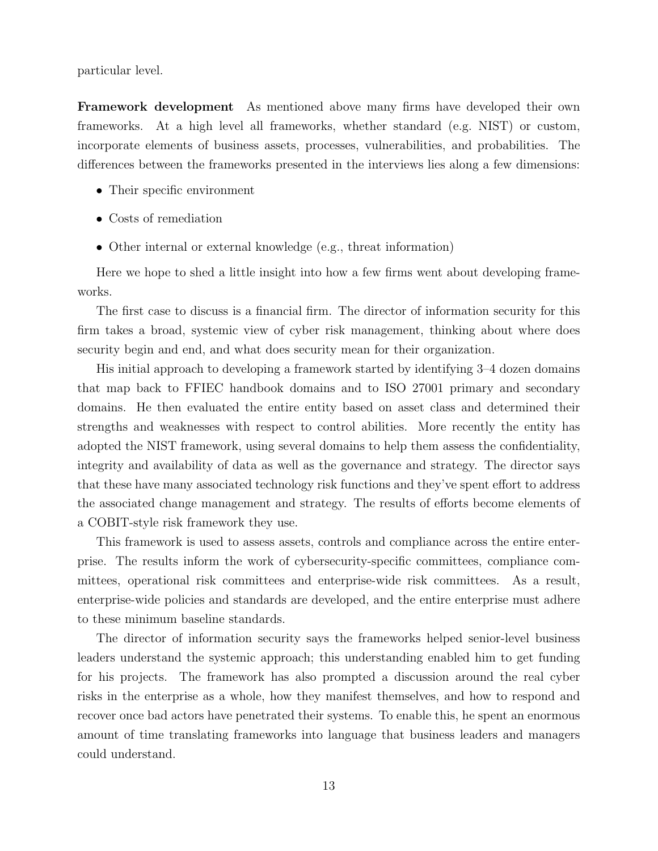particular level.

Framework development As mentioned above many firms have developed their own frameworks. At a high level all frameworks, whether standard (e.g. NIST) or custom, incorporate elements of business assets, processes, vulnerabilities, and probabilities. The differences between the frameworks presented in the interviews lies along a few dimensions:

- Their specific environment
- Costs of remediation
- Other internal or external knowledge (e.g., threat information)

Here we hope to shed a little insight into how a few firms went about developing frameworks.

The first case to discuss is a financial firm. The director of information security for this firm takes a broad, systemic view of cyber risk management, thinking about where does security begin and end, and what does security mean for their organization.

His initial approach to developing a framework started by identifying 3–4 dozen domains that map back to FFIEC handbook domains and to ISO 27001 primary and secondary domains. He then evaluated the entire entity based on asset class and determined their strengths and weaknesses with respect to control abilities. More recently the entity has adopted the NIST framework, using several domains to help them assess the confidentiality, integrity and availability of data as well as the governance and strategy. The director says that these have many associated technology risk functions and they've spent effort to address the associated change management and strategy. The results of efforts become elements of a COBIT-style risk framework they use.

This framework is used to assess assets, controls and compliance across the entire enterprise. The results inform the work of cybersecurity-specific committees, compliance committees, operational risk committees and enterprise-wide risk committees. As a result, enterprise-wide policies and standards are developed, and the entire enterprise must adhere to these minimum baseline standards.

The director of information security says the frameworks helped senior-level business leaders understand the systemic approach; this understanding enabled him to get funding for his projects. The framework has also prompted a discussion around the real cyber risks in the enterprise as a whole, how they manifest themselves, and how to respond and recover once bad actors have penetrated their systems. To enable this, he spent an enormous amount of time translating frameworks into language that business leaders and managers could understand.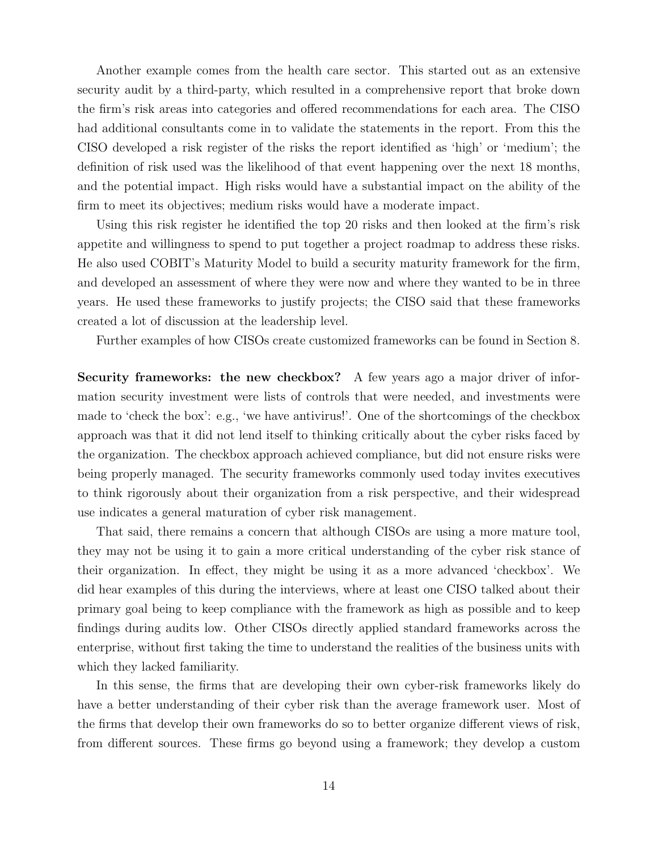Another example comes from the health care sector. This started out as an extensive security audit by a third-party, which resulted in a comprehensive report that broke down the firm's risk areas into categories and offered recommendations for each area. The CISO had additional consultants come in to validate the statements in the report. From this the CISO developed a risk register of the risks the report identified as 'high' or 'medium'; the definition of risk used was the likelihood of that event happening over the next 18 months, and the potential impact. High risks would have a substantial impact on the ability of the firm to meet its objectives; medium risks would have a moderate impact.

Using this risk register he identified the top 20 risks and then looked at the firm's risk appetite and willingness to spend to put together a project roadmap to address these risks. He also used COBIT's Maturity Model to build a security maturity framework for the firm, and developed an assessment of where they were now and where they wanted to be in three years. He used these frameworks to justify projects; the CISO said that these frameworks created a lot of discussion at the leadership level.

Further examples of how CISOs create customized frameworks can be found in Section 8.

Security frameworks: the new checkbox? A few years ago a major driver of information security investment were lists of controls that were needed, and investments were made to 'check the box': e.g., 'we have antivirus!'. One of the shortcomings of the checkbox approach was that it did not lend itself to thinking critically about the cyber risks faced by the organization. The checkbox approach achieved compliance, but did not ensure risks were being properly managed. The security frameworks commonly used today invites executives to think rigorously about their organization from a risk perspective, and their widespread use indicates a general maturation of cyber risk management.

That said, there remains a concern that although CISOs are using a more mature tool, they may not be using it to gain a more critical understanding of the cyber risk stance of their organization. In effect, they might be using it as a more advanced 'checkbox'. We did hear examples of this during the interviews, where at least one CISO talked about their primary goal being to keep compliance with the framework as high as possible and to keep findings during audits low. Other CISOs directly applied standard frameworks across the enterprise, without first taking the time to understand the realities of the business units with which they lacked familiarity.

In this sense, the firms that are developing their own cyber-risk frameworks likely do have a better understanding of their cyber risk than the average framework user. Most of the firms that develop their own frameworks do so to better organize different views of risk, from different sources. These firms go beyond using a framework; they develop a custom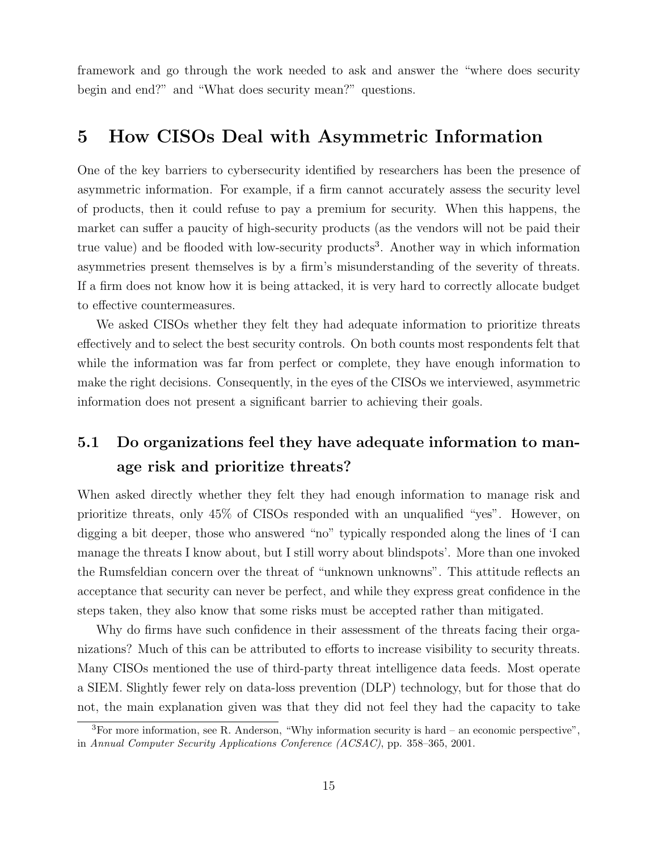framework and go through the work needed to ask and answer the "where does security begin and end?" and "What does security mean?" questions.

# 5 How CISOs Deal with Asymmetric Information

One of the key barriers to cybersecurity identified by researchers has been the presence of asymmetric information. For example, if a firm cannot accurately assess the security level of products, then it could refuse to pay a premium for security. When this happens, the market can suffer a paucity of high-security products (as the vendors will not be paid their true value) and be flooded with low-security products<sup>3</sup>. Another way in which information asymmetries present themselves is by a firm's misunderstanding of the severity of threats. If a firm does not know how it is being attacked, it is very hard to correctly allocate budget to effective countermeasures.

We asked CISOs whether they felt they had adequate information to prioritize threats effectively and to select the best security controls. On both counts most respondents felt that while the information was far from perfect or complete, they have enough information to make the right decisions. Consequently, in the eyes of the CISOs we interviewed, asymmetric information does not present a significant barrier to achieving their goals.

# 5.1 Do organizations feel they have adequate information to manage risk and prioritize threats?

When asked directly whether they felt they had enough information to manage risk and prioritize threats, only 45% of CISOs responded with an unqualified "yes". However, on digging a bit deeper, those who answered "no" typically responded along the lines of 'I can manage the threats I know about, but I still worry about blindspots'. More than one invoked the Rumsfeldian concern over the threat of "unknown unknowns". This attitude reflects an acceptance that security can never be perfect, and while they express great confidence in the steps taken, they also know that some risks must be accepted rather than mitigated.

Why do firms have such confidence in their assessment of the threats facing their organizations? Much of this can be attributed to efforts to increase visibility to security threats. Many CISOs mentioned the use of third-party threat intelligence data feeds. Most operate a SIEM. Slightly fewer rely on data-loss prevention (DLP) technology, but for those that do not, the main explanation given was that they did not feel they had the capacity to take

 ${}^{3}$ For more information, see R. Anderson, "Why information security is hard – an economic perspective", in Annual Computer Security Applications Conference (ACSAC), pp. 358–365, 2001.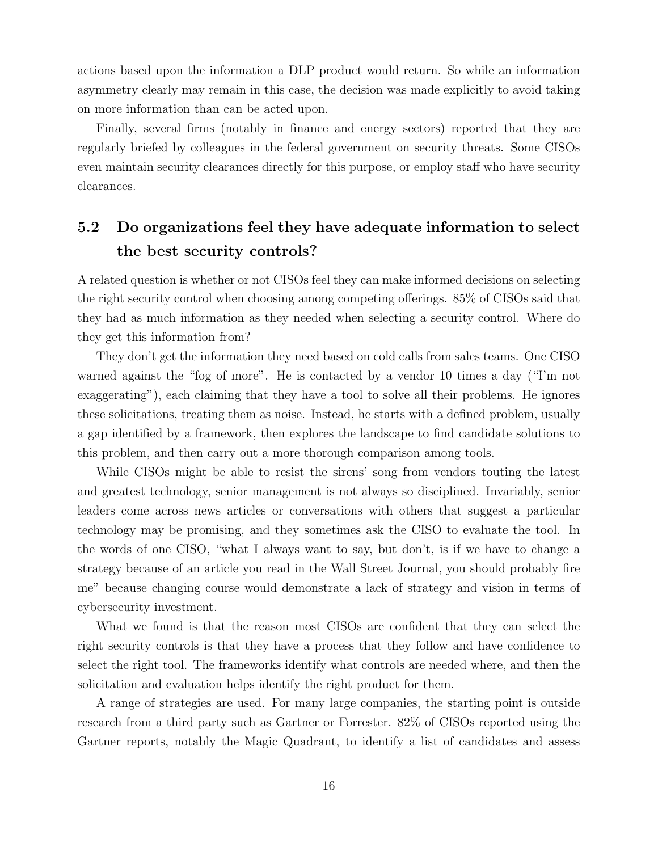actions based upon the information a DLP product would return. So while an information asymmetry clearly may remain in this case, the decision was made explicitly to avoid taking on more information than can be acted upon.

Finally, several firms (notably in finance and energy sectors) reported that they are regularly briefed by colleagues in the federal government on security threats. Some CISOs even maintain security clearances directly for this purpose, or employ staff who have security clearances.

# 5.2 Do organizations feel they have adequate information to select the best security controls?

A related question is whether or not CISOs feel they can make informed decisions on selecting the right security control when choosing among competing offerings. 85% of CISOs said that they had as much information as they needed when selecting a security control. Where do they get this information from?

They don't get the information they need based on cold calls from sales teams. One CISO warned against the "fog of more". He is contacted by a vendor 10 times a day ("I'm not exaggerating"), each claiming that they have a tool to solve all their problems. He ignores these solicitations, treating them as noise. Instead, he starts with a defined problem, usually a gap identified by a framework, then explores the landscape to find candidate solutions to this problem, and then carry out a more thorough comparison among tools.

While CISOs might be able to resist the sirens' song from vendors touting the latest and greatest technology, senior management is not always so disciplined. Invariably, senior leaders come across news articles or conversations with others that suggest a particular technology may be promising, and they sometimes ask the CISO to evaluate the tool. In the words of one CISO, "what I always want to say, but don't, is if we have to change a strategy because of an article you read in the Wall Street Journal, you should probably fire me" because changing course would demonstrate a lack of strategy and vision in terms of cybersecurity investment.

What we found is that the reason most CISOs are confident that they can select the right security controls is that they have a process that they follow and have confidence to select the right tool. The frameworks identify what controls are needed where, and then the solicitation and evaluation helps identify the right product for them.

A range of strategies are used. For many large companies, the starting point is outside research from a third party such as Gartner or Forrester. 82% of CISOs reported using the Gartner reports, notably the Magic Quadrant, to identify a list of candidates and assess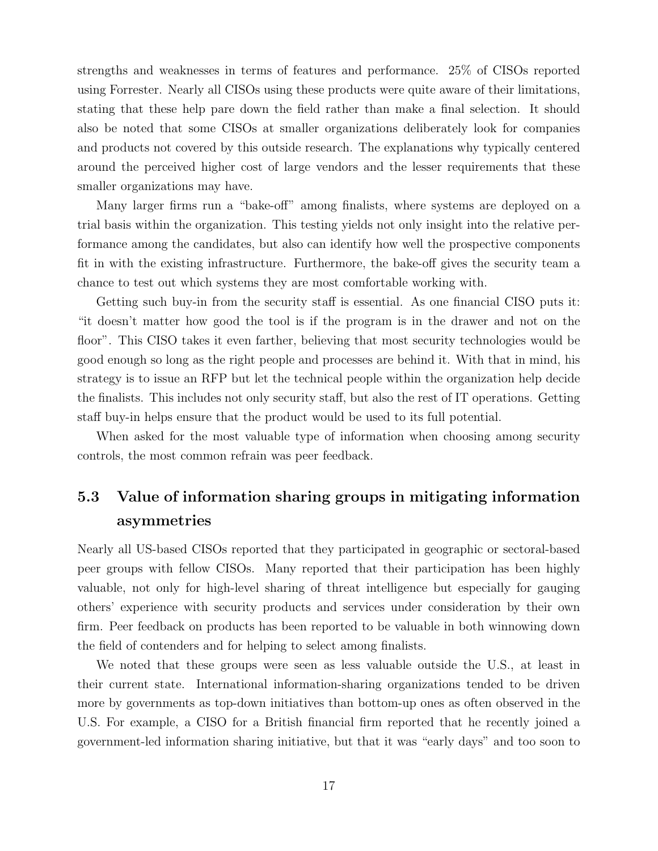strengths and weaknesses in terms of features and performance. 25% of CISOs reported using Forrester. Nearly all CISOs using these products were quite aware of their limitations, stating that these help pare down the field rather than make a final selection. It should also be noted that some CISOs at smaller organizations deliberately look for companies and products not covered by this outside research. The explanations why typically centered around the perceived higher cost of large vendors and the lesser requirements that these smaller organizations may have.

Many larger firms run a "bake-off" among finalists, where systems are deployed on a trial basis within the organization. This testing yields not only insight into the relative performance among the candidates, but also can identify how well the prospective components fit in with the existing infrastructure. Furthermore, the bake-off gives the security team a chance to test out which systems they are most comfortable working with.

Getting such buy-in from the security staff is essential. As one financial CISO puts it: "it doesn't matter how good the tool is if the program is in the drawer and not on the floor". This CISO takes it even farther, believing that most security technologies would be good enough so long as the right people and processes are behind it. With that in mind, his strategy is to issue an RFP but let the technical people within the organization help decide the finalists. This includes not only security staff, but also the rest of IT operations. Getting staff buy-in helps ensure that the product would be used to its full potential.

When asked for the most valuable type of information when choosing among security controls, the most common refrain was peer feedback.

# 5.3 Value of information sharing groups in mitigating information asymmetries

Nearly all US-based CISOs reported that they participated in geographic or sectoral-based peer groups with fellow CISOs. Many reported that their participation has been highly valuable, not only for high-level sharing of threat intelligence but especially for gauging others' experience with security products and services under consideration by their own firm. Peer feedback on products has been reported to be valuable in both winnowing down the field of contenders and for helping to select among finalists.

We noted that these groups were seen as less valuable outside the U.S., at least in their current state. International information-sharing organizations tended to be driven more by governments as top-down initiatives than bottom-up ones as often observed in the U.S. For example, a CISO for a British financial firm reported that he recently joined a government-led information sharing initiative, but that it was "early days" and too soon to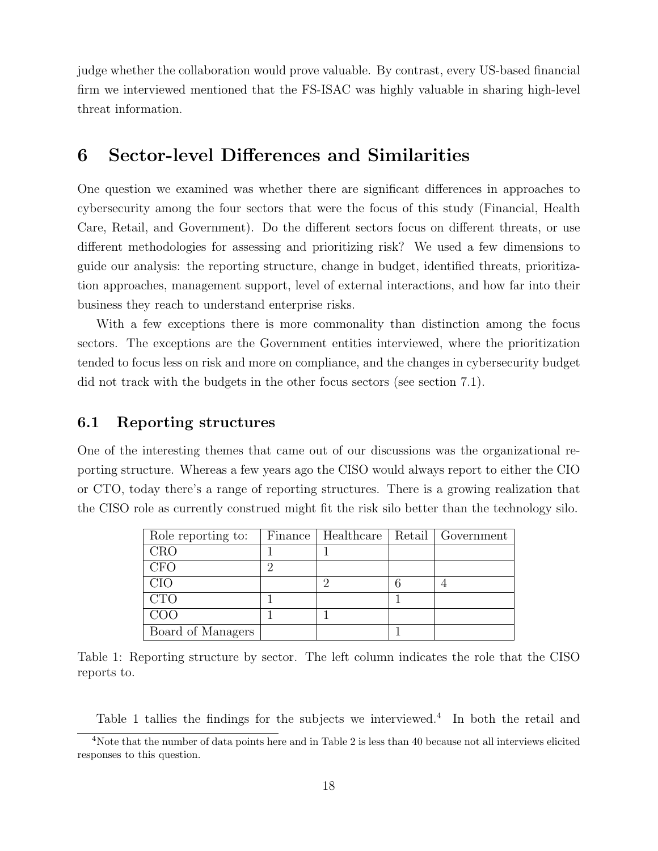judge whether the collaboration would prove valuable. By contrast, every US-based financial firm we interviewed mentioned that the FS-ISAC was highly valuable in sharing high-level threat information.

### 6 Sector-level Differences and Similarities

One question we examined was whether there are significant differences in approaches to cybersecurity among the four sectors that were the focus of this study (Financial, Health Care, Retail, and Government). Do the different sectors focus on different threats, or use different methodologies for assessing and prioritizing risk? We used a few dimensions to guide our analysis: the reporting structure, change in budget, identified threats, prioritization approaches, management support, level of external interactions, and how far into their business they reach to understand enterprise risks.

With a few exceptions there is more commonality than distinction among the focus sectors. The exceptions are the Government entities interviewed, where the prioritization tended to focus less on risk and more on compliance, and the changes in cybersecurity budget did not track with the budgets in the other focus sectors (see section 7.1).

#### 6.1 Reporting structures

One of the interesting themes that came out of our discussions was the organizational reporting structure. Whereas a few years ago the CISO would always report to either the CIO or CTO, today there's a range of reporting structures. There is a growing realization that the CISO role as currently construed might fit the risk silo better than the technology silo.

| Role reporting to: | Finance | Healthcare | Retail Government |
|--------------------|---------|------------|-------------------|
| <b>CRO</b>         |         |            |                   |
| <b>CFO</b>         |         |            |                   |
| CIO                |         |            |                   |
| <b>CTO</b>         |         |            |                   |
| COO                |         |            |                   |
| Board of Managers  |         |            |                   |

Table 1: Reporting structure by sector. The left column indicates the role that the CISO reports to.

Table 1 tallies the findings for the subjects we interviewed.<sup>4</sup> In both the retail and

<sup>&</sup>lt;sup>4</sup>Note that the number of data points here and in Table 2 is less than 40 because not all interviews elicited responses to this question.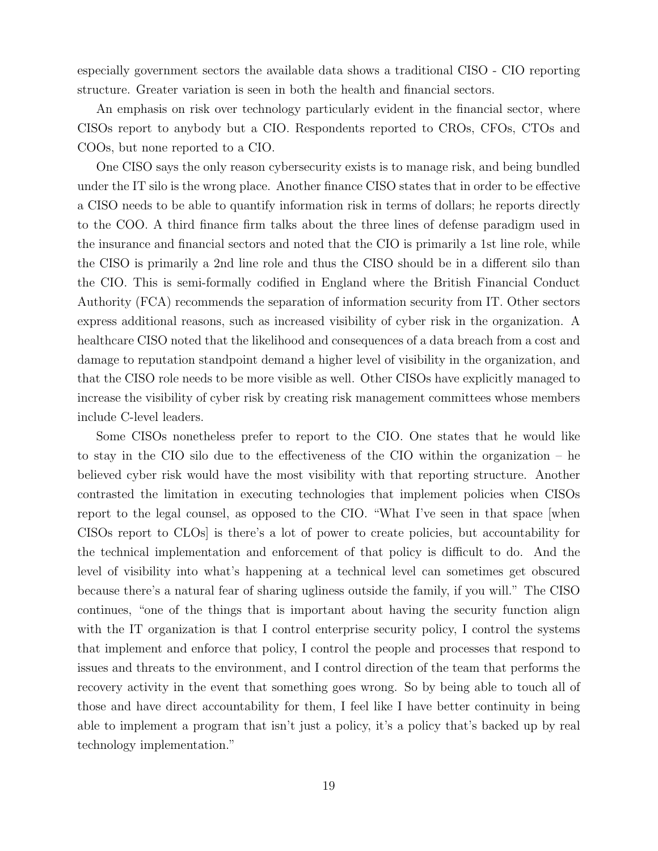especially government sectors the available data shows a traditional CISO - CIO reporting structure. Greater variation is seen in both the health and financial sectors.

An emphasis on risk over technology particularly evident in the financial sector, where CISOs report to anybody but a CIO. Respondents reported to CROs, CFOs, CTOs and COOs, but none reported to a CIO.

One CISO says the only reason cybersecurity exists is to manage risk, and being bundled under the IT silo is the wrong place. Another finance CISO states that in order to be effective a CISO needs to be able to quantify information risk in terms of dollars; he reports directly to the COO. A third finance firm talks about the three lines of defense paradigm used in the insurance and financial sectors and noted that the CIO is primarily a 1st line role, while the CISO is primarily a 2nd line role and thus the CISO should be in a different silo than the CIO. This is semi-formally codified in England where the British Financial Conduct Authority (FCA) recommends the separation of information security from IT. Other sectors express additional reasons, such as increased visibility of cyber risk in the organization. A healthcare CISO noted that the likelihood and consequences of a data breach from a cost and damage to reputation standpoint demand a higher level of visibility in the organization, and that the CISO role needs to be more visible as well. Other CISOs have explicitly managed to increase the visibility of cyber risk by creating risk management committees whose members include C-level leaders.

Some CISOs nonetheless prefer to report to the CIO. One states that he would like to stay in the CIO silo due to the effectiveness of the CIO within the organization – he believed cyber risk would have the most visibility with that reporting structure. Another contrasted the limitation in executing technologies that implement policies when CISOs report to the legal counsel, as opposed to the CIO. "What I've seen in that space [when CISOs report to CLOs] is there's a lot of power to create policies, but accountability for the technical implementation and enforcement of that policy is difficult to do. And the level of visibility into what's happening at a technical level can sometimes get obscured because there's a natural fear of sharing ugliness outside the family, if you will." The CISO continues, "one of the things that is important about having the security function align with the IT organization is that I control enterprise security policy, I control the systems that implement and enforce that policy, I control the people and processes that respond to issues and threats to the environment, and I control direction of the team that performs the recovery activity in the event that something goes wrong. So by being able to touch all of those and have direct accountability for them, I feel like I have better continuity in being able to implement a program that isn't just a policy, it's a policy that's backed up by real technology implementation."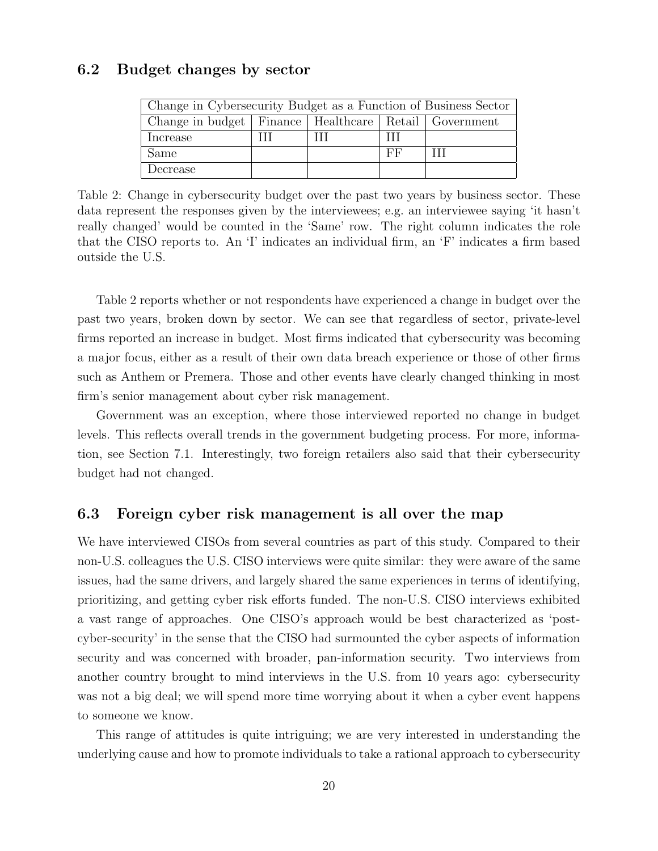#### 6.2 Budget changes by sector

| Change in Cybersecurity Budget as a Function of Business Sector |  |  |    |  |  |  |  |
|-----------------------------------------------------------------|--|--|----|--|--|--|--|
| Change in budget   Finance   Healthcare   Retail   Government   |  |  |    |  |  |  |  |
| Increase                                                        |  |  | Ш  |  |  |  |  |
| Same                                                            |  |  | FF |  |  |  |  |
| Decrease                                                        |  |  |    |  |  |  |  |

Table 2: Change in cybersecurity budget over the past two years by business sector. These data represent the responses given by the interviewees; e.g. an interviewee saying 'it hasn't really changed' would be counted in the 'Same' row. The right column indicates the role that the CISO reports to. An 'I' indicates an individual firm, an 'F' indicates a firm based outside the U.S.

Table 2 reports whether or not respondents have experienced a change in budget over the past two years, broken down by sector. We can see that regardless of sector, private-level firms reported an increase in budget. Most firms indicated that cybersecurity was becoming a major focus, either as a result of their own data breach experience or those of other firms such as Anthem or Premera. Those and other events have clearly changed thinking in most firm's senior management about cyber risk management.

Government was an exception, where those interviewed reported no change in budget levels. This reflects overall trends in the government budgeting process. For more, information, see Section 7.1. Interestingly, two foreign retailers also said that their cybersecurity budget had not changed.

#### 6.3 Foreign cyber risk management is all over the map

We have interviewed CISOs from several countries as part of this study. Compared to their non-U.S. colleagues the U.S. CISO interviews were quite similar: they were aware of the same issues, had the same drivers, and largely shared the same experiences in terms of identifying, prioritizing, and getting cyber risk efforts funded. The non-U.S. CISO interviews exhibited a vast range of approaches. One CISO's approach would be best characterized as 'postcyber-security' in the sense that the CISO had surmounted the cyber aspects of information security and was concerned with broader, pan-information security. Two interviews from another country brought to mind interviews in the U.S. from 10 years ago: cybersecurity was not a big deal; we will spend more time worrying about it when a cyber event happens to someone we know.

This range of attitudes is quite intriguing; we are very interested in understanding the underlying cause and how to promote individuals to take a rational approach to cybersecurity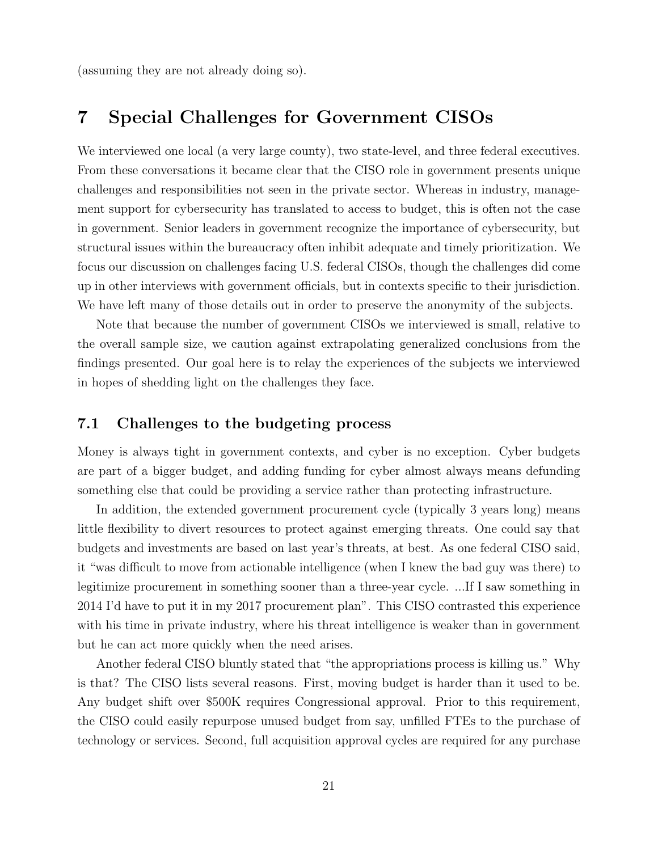(assuming they are not already doing so).

### 7 Special Challenges for Government CISOs

We interviewed one local (a very large county), two state-level, and three federal executives. From these conversations it became clear that the CISO role in government presents unique challenges and responsibilities not seen in the private sector. Whereas in industry, management support for cybersecurity has translated to access to budget, this is often not the case in government. Senior leaders in government recognize the importance of cybersecurity, but structural issues within the bureaucracy often inhibit adequate and timely prioritization. We focus our discussion on challenges facing U.S. federal CISOs, though the challenges did come up in other interviews with government officials, but in contexts specific to their jurisdiction. We have left many of those details out in order to preserve the anonymity of the subjects.

Note that because the number of government CISOs we interviewed is small, relative to the overall sample size, we caution against extrapolating generalized conclusions from the findings presented. Our goal here is to relay the experiences of the subjects we interviewed in hopes of shedding light on the challenges they face.

#### 7.1 Challenges to the budgeting process

Money is always tight in government contexts, and cyber is no exception. Cyber budgets are part of a bigger budget, and adding funding for cyber almost always means defunding something else that could be providing a service rather than protecting infrastructure.

In addition, the extended government procurement cycle (typically 3 years long) means little flexibility to divert resources to protect against emerging threats. One could say that budgets and investments are based on last year's threats, at best. As one federal CISO said, it "was difficult to move from actionable intelligence (when I knew the bad guy was there) to legitimize procurement in something sooner than a three-year cycle. ...If I saw something in 2014 I'd have to put it in my 2017 procurement plan". This CISO contrasted this experience with his time in private industry, where his threat intelligence is weaker than in government but he can act more quickly when the need arises.

Another federal CISO bluntly stated that "the appropriations process is killing us." Why is that? The CISO lists several reasons. First, moving budget is harder than it used to be. Any budget shift over \$500K requires Congressional approval. Prior to this requirement, the CISO could easily repurpose unused budget from say, unfilled FTEs to the purchase of technology or services. Second, full acquisition approval cycles are required for any purchase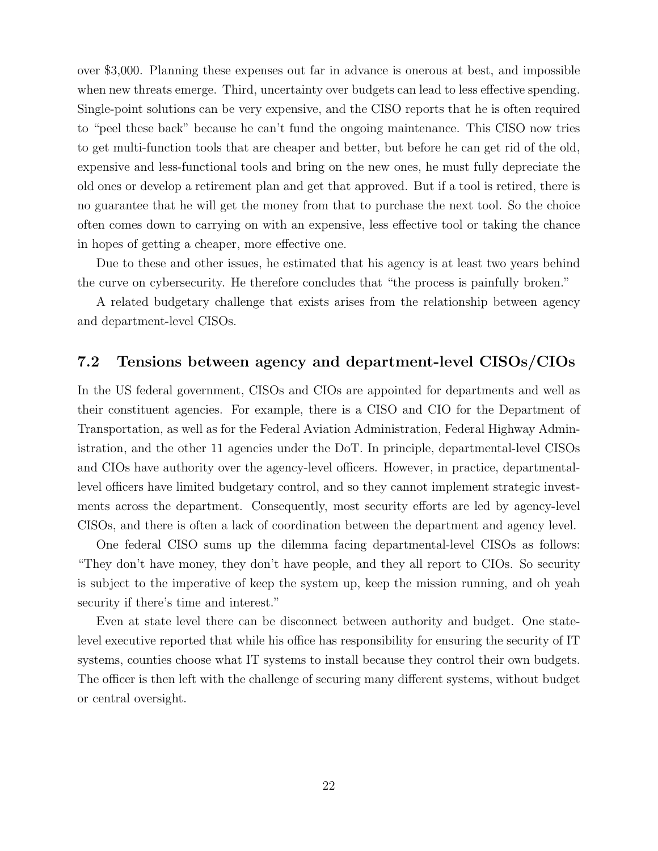over \$3,000. Planning these expenses out far in advance is onerous at best, and impossible when new threats emerge. Third, uncertainty over budgets can lead to less effective spending. Single-point solutions can be very expensive, and the CISO reports that he is often required to "peel these back" because he can't fund the ongoing maintenance. This CISO now tries to get multi-function tools that are cheaper and better, but before he can get rid of the old, expensive and less-functional tools and bring on the new ones, he must fully depreciate the old ones or develop a retirement plan and get that approved. But if a tool is retired, there is no guarantee that he will get the money from that to purchase the next tool. So the choice often comes down to carrying on with an expensive, less effective tool or taking the chance in hopes of getting a cheaper, more effective one.

Due to these and other issues, he estimated that his agency is at least two years behind the curve on cybersecurity. He therefore concludes that "the process is painfully broken."

A related budgetary challenge that exists arises from the relationship between agency and department-level CISOs.

#### 7.2 Tensions between agency and department-level CISOs/CIOs

In the US federal government, CISOs and CIOs are appointed for departments and well as their constituent agencies. For example, there is a CISO and CIO for the Department of Transportation, as well as for the Federal Aviation Administration, Federal Highway Administration, and the other 11 agencies under the DoT. In principle, departmental-level CISOs and CIOs have authority over the agency-level officers. However, in practice, departmentallevel officers have limited budgetary control, and so they cannot implement strategic investments across the department. Consequently, most security efforts are led by agency-level CISOs, and there is often a lack of coordination between the department and agency level.

One federal CISO sums up the dilemma facing departmental-level CISOs as follows: "They don't have money, they don't have people, and they all report to CIOs. So security is subject to the imperative of keep the system up, keep the mission running, and oh yeah security if there's time and interest."

Even at state level there can be disconnect between authority and budget. One statelevel executive reported that while his office has responsibility for ensuring the security of IT systems, counties choose what IT systems to install because they control their own budgets. The officer is then left with the challenge of securing many different systems, without budget or central oversight.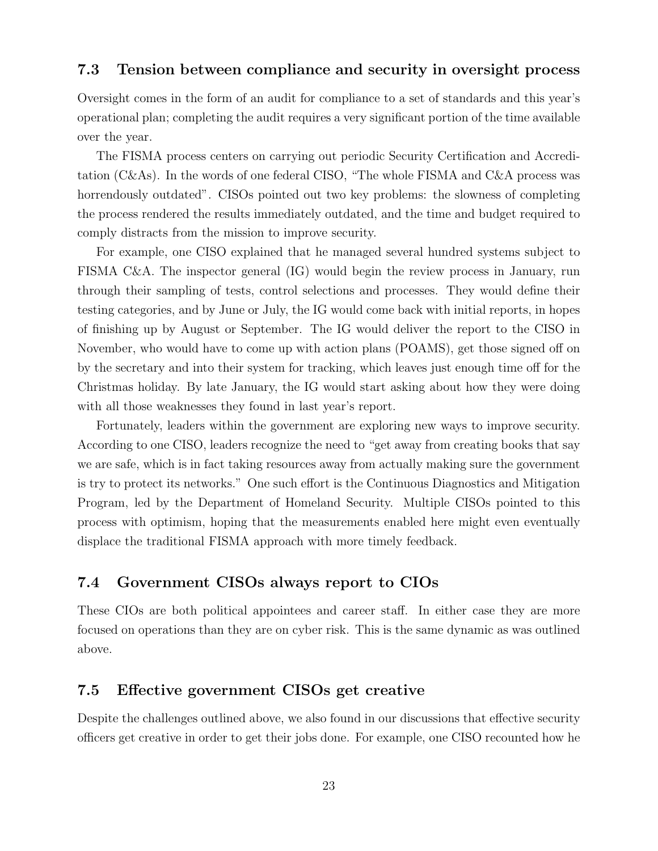#### 7.3 Tension between compliance and security in oversight process

Oversight comes in the form of an audit for compliance to a set of standards and this year's operational plan; completing the audit requires a very significant portion of the time available over the year.

The FISMA process centers on carrying out periodic Security Certification and Accreditation (C&As). In the words of one federal CISO, "The whole FISMA and C&A process was horrendously outdated". CISOs pointed out two key problems: the slowness of completing the process rendered the results immediately outdated, and the time and budget required to comply distracts from the mission to improve security.

For example, one CISO explained that he managed several hundred systems subject to FISMA C&A. The inspector general (IG) would begin the review process in January, run through their sampling of tests, control selections and processes. They would define their testing categories, and by June or July, the IG would come back with initial reports, in hopes of finishing up by August or September. The IG would deliver the report to the CISO in November, who would have to come up with action plans (POAMS), get those signed off on by the secretary and into their system for tracking, which leaves just enough time off for the Christmas holiday. By late January, the IG would start asking about how they were doing with all those weaknesses they found in last year's report.

Fortunately, leaders within the government are exploring new ways to improve security. According to one CISO, leaders recognize the need to "get away from creating books that say we are safe, which is in fact taking resources away from actually making sure the government is try to protect its networks." One such effort is the Continuous Diagnostics and Mitigation Program, led by the Department of Homeland Security. Multiple CISOs pointed to this process with optimism, hoping that the measurements enabled here might even eventually displace the traditional FISMA approach with more timely feedback.

### 7.4 Government CISOs always report to CIOs

These CIOs are both political appointees and career staff. In either case they are more focused on operations than they are on cyber risk. This is the same dynamic as was outlined above.

#### 7.5 Effective government CISOs get creative

Despite the challenges outlined above, we also found in our discussions that effective security officers get creative in order to get their jobs done. For example, one CISO recounted how he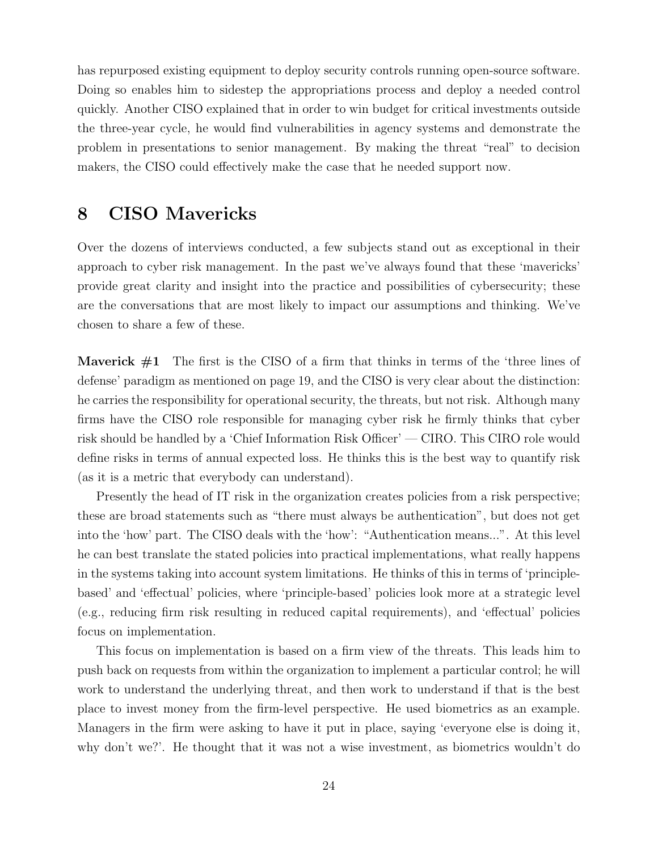has repurposed existing equipment to deploy security controls running open-source software. Doing so enables him to sidestep the appropriations process and deploy a needed control quickly. Another CISO explained that in order to win budget for critical investments outside the three-year cycle, he would find vulnerabilities in agency systems and demonstrate the problem in presentations to senior management. By making the threat "real" to decision makers, the CISO could effectively make the case that he needed support now.

### 8 CISO Mavericks

Over the dozens of interviews conducted, a few subjects stand out as exceptional in their approach to cyber risk management. In the past we've always found that these 'mavericks' provide great clarity and insight into the practice and possibilities of cybersecurity; these are the conversations that are most likely to impact our assumptions and thinking. We've chosen to share a few of these.

**Maverick**  $\#1$  The first is the CISO of a firm that thinks in terms of the 'three lines of defense' paradigm as mentioned on page 19, and the CISO is very clear about the distinction: he carries the responsibility for operational security, the threats, but not risk. Although many firms have the CISO role responsible for managing cyber risk he firmly thinks that cyber risk should be handled by a 'Chief Information Risk Officer' — CIRO. This CIRO role would define risks in terms of annual expected loss. He thinks this is the best way to quantify risk (as it is a metric that everybody can understand).

Presently the head of IT risk in the organization creates policies from a risk perspective; these are broad statements such as "there must always be authentication", but does not get into the 'how' part. The CISO deals with the 'how': "Authentication means...". At this level he can best translate the stated policies into practical implementations, what really happens in the systems taking into account system limitations. He thinks of this in terms of 'principlebased' and 'effectual' policies, where 'principle-based' policies look more at a strategic level (e.g., reducing firm risk resulting in reduced capital requirements), and 'effectual' policies focus on implementation.

This focus on implementation is based on a firm view of the threats. This leads him to push back on requests from within the organization to implement a particular control; he will work to understand the underlying threat, and then work to understand if that is the best place to invest money from the firm-level perspective. He used biometrics as an example. Managers in the firm were asking to have it put in place, saying 'everyone else is doing it, why don't we?'. He thought that it was not a wise investment, as biometrics wouldn't do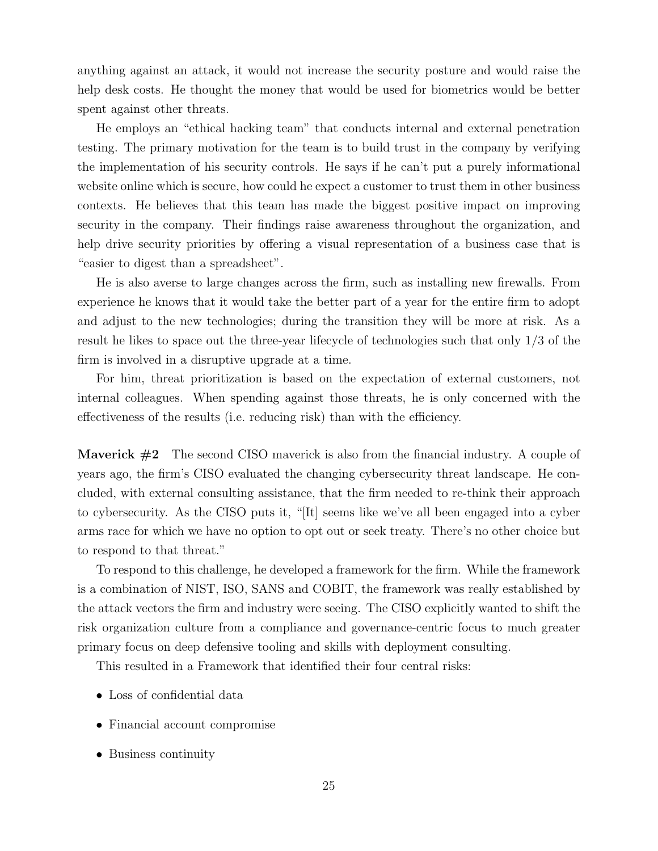anything against an attack, it would not increase the security posture and would raise the help desk costs. He thought the money that would be used for biometrics would be better spent against other threats.

He employs an "ethical hacking team" that conducts internal and external penetration testing. The primary motivation for the team is to build trust in the company by verifying the implementation of his security controls. He says if he can't put a purely informational website online which is secure, how could he expect a customer to trust them in other business contexts. He believes that this team has made the biggest positive impact on improving security in the company. Their findings raise awareness throughout the organization, and help drive security priorities by offering a visual representation of a business case that is "easier to digest than a spreadsheet".

He is also averse to large changes across the firm, such as installing new firewalls. From experience he knows that it would take the better part of a year for the entire firm to adopt and adjust to the new technologies; during the transition they will be more at risk. As a result he likes to space out the three-year lifecycle of technologies such that only 1/3 of the firm is involved in a disruptive upgrade at a time.

For him, threat prioritization is based on the expectation of external customers, not internal colleagues. When spending against those threats, he is only concerned with the effectiveness of the results (i.e. reducing risk) than with the efficiency.

**Maverick**  $#2$  The second CISO maverick is also from the financial industry. A couple of years ago, the firm's CISO evaluated the changing cybersecurity threat landscape. He concluded, with external consulting assistance, that the firm needed to re-think their approach to cybersecurity. As the CISO puts it, "[It] seems like we've all been engaged into a cyber arms race for which we have no option to opt out or seek treaty. There's no other choice but to respond to that threat."

To respond to this challenge, he developed a framework for the firm. While the framework is a combination of NIST, ISO, SANS and COBIT, the framework was really established by the attack vectors the firm and industry were seeing. The CISO explicitly wanted to shift the risk organization culture from a compliance and governance-centric focus to much greater primary focus on deep defensive tooling and skills with deployment consulting.

This resulted in a Framework that identified their four central risks:

- Loss of confidential data
- Financial account compromise
- Business continuity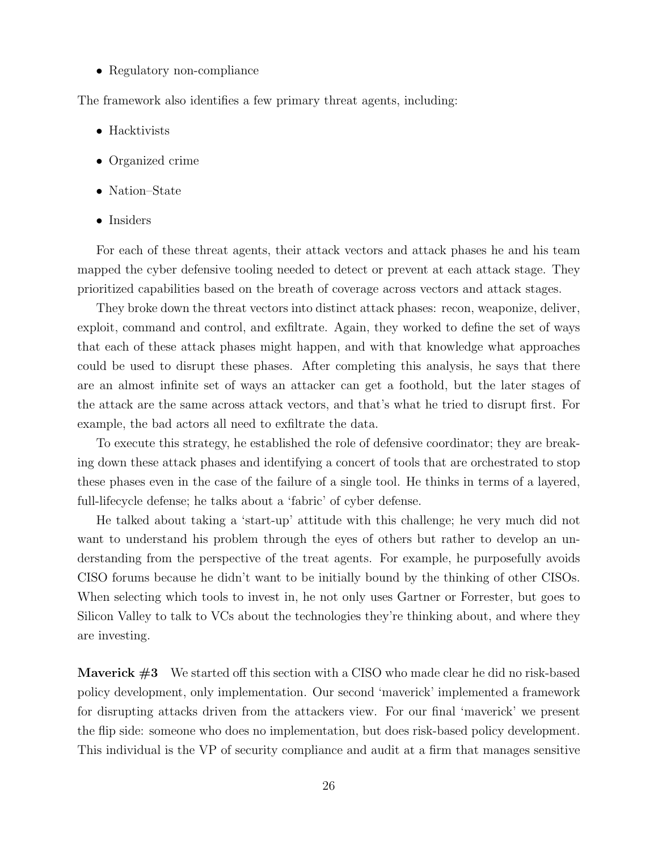• Regulatory non-compliance

The framework also identifies a few primary threat agents, including:

- Hacktivists
- Organized crime
- Nation–State
- Insiders

For each of these threat agents, their attack vectors and attack phases he and his team mapped the cyber defensive tooling needed to detect or prevent at each attack stage. They prioritized capabilities based on the breath of coverage across vectors and attack stages.

They broke down the threat vectors into distinct attack phases: recon, weaponize, deliver, exploit, command and control, and exfiltrate. Again, they worked to define the set of ways that each of these attack phases might happen, and with that knowledge what approaches could be used to disrupt these phases. After completing this analysis, he says that there are an almost infinite set of ways an attacker can get a foothold, but the later stages of the attack are the same across attack vectors, and that's what he tried to disrupt first. For example, the bad actors all need to exfiltrate the data.

To execute this strategy, he established the role of defensive coordinator; they are breaking down these attack phases and identifying a concert of tools that are orchestrated to stop these phases even in the case of the failure of a single tool. He thinks in terms of a layered, full-lifecycle defense; he talks about a 'fabric' of cyber defense.

He talked about taking a 'start-up' attitude with this challenge; he very much did not want to understand his problem through the eyes of others but rather to develop an understanding from the perspective of the treat agents. For example, he purposefully avoids CISO forums because he didn't want to be initially bound by the thinking of other CISOs. When selecting which tools to invest in, he not only uses Gartner or Forrester, but goes to Silicon Valley to talk to VCs about the technologies they're thinking about, and where they are investing.

**Maverick**  $\#3$  We started off this section with a CISO who made clear he did no risk-based policy development, only implementation. Our second 'maverick' implemented a framework for disrupting attacks driven from the attackers view. For our final 'maverick' we present the flip side: someone who does no implementation, but does risk-based policy development. This individual is the VP of security compliance and audit at a firm that manages sensitive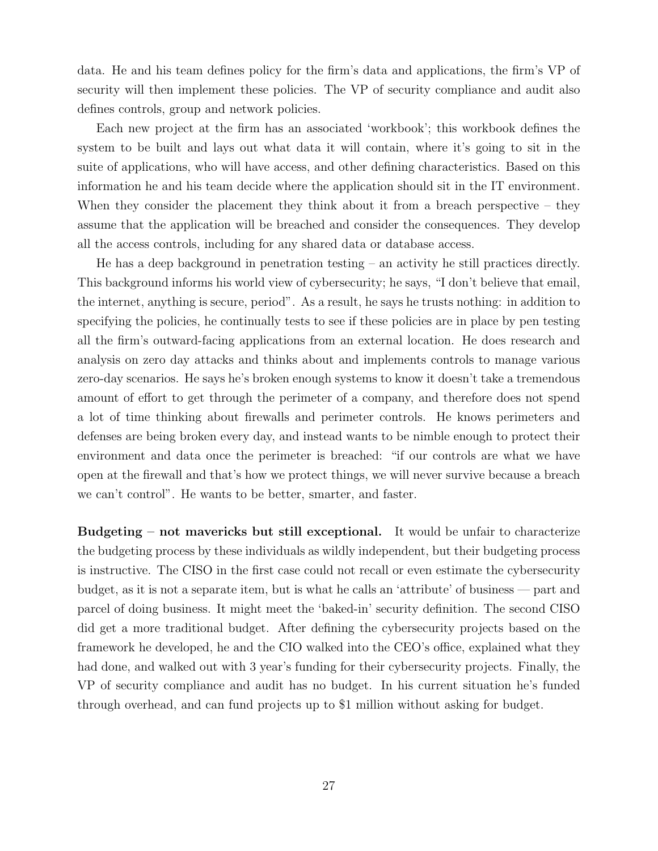data. He and his team defines policy for the firm's data and applications, the firm's VP of security will then implement these policies. The VP of security compliance and audit also defines controls, group and network policies.

Each new project at the firm has an associated 'workbook'; this workbook defines the system to be built and lays out what data it will contain, where it's going to sit in the suite of applications, who will have access, and other defining characteristics. Based on this information he and his team decide where the application should sit in the IT environment. When they consider the placement they think about it from a breach perspective – they assume that the application will be breached and consider the consequences. They develop all the access controls, including for any shared data or database access.

He has a deep background in penetration testing – an activity he still practices directly. This background informs his world view of cybersecurity; he says, "I don't believe that email, the internet, anything is secure, period". As a result, he says he trusts nothing: in addition to specifying the policies, he continually tests to see if these policies are in place by pen testing all the firm's outward-facing applications from an external location. He does research and analysis on zero day attacks and thinks about and implements controls to manage various zero-day scenarios. He says he's broken enough systems to know it doesn't take a tremendous amount of effort to get through the perimeter of a company, and therefore does not spend a lot of time thinking about firewalls and perimeter controls. He knows perimeters and defenses are being broken every day, and instead wants to be nimble enough to protect their environment and data once the perimeter is breached: "if our controls are what we have open at the firewall and that's how we protect things, we will never survive because a breach we can't control". He wants to be better, smarter, and faster.

Budgeting – not mavericks but still exceptional. It would be unfair to characterize the budgeting process by these individuals as wildly independent, but their budgeting process is instructive. The CISO in the first case could not recall or even estimate the cybersecurity budget, as it is not a separate item, but is what he calls an 'attribute' of business — part and parcel of doing business. It might meet the 'baked-in' security definition. The second CISO did get a more traditional budget. After defining the cybersecurity projects based on the framework he developed, he and the CIO walked into the CEO's office, explained what they had done, and walked out with 3 year's funding for their cybers ecurity projects. Finally, the VP of security compliance and audit has no budget. In his current situation he's funded through overhead, and can fund projects up to \$1 million without asking for budget.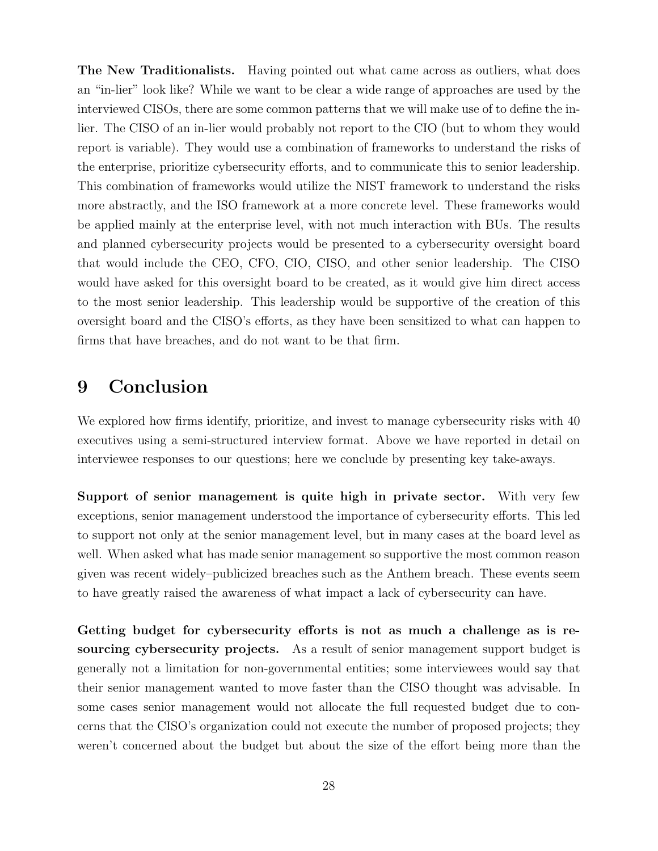The New Traditionalists. Having pointed out what came across as outliers, what does an "in-lier" look like? While we want to be clear a wide range of approaches are used by the interviewed CISOs, there are some common patterns that we will make use of to define the inlier. The CISO of an in-lier would probably not report to the CIO (but to whom they would report is variable). They would use a combination of frameworks to understand the risks of the enterprise, prioritize cybersecurity efforts, and to communicate this to senior leadership. This combination of frameworks would utilize the NIST framework to understand the risks more abstractly, and the ISO framework at a more concrete level. These frameworks would be applied mainly at the enterprise level, with not much interaction with BUs. The results and planned cybersecurity projects would be presented to a cybersecurity oversight board that would include the CEO, CFO, CIO, CISO, and other senior leadership. The CISO would have asked for this oversight board to be created, as it would give him direct access to the most senior leadership. This leadership would be supportive of the creation of this oversight board and the CISO's efforts, as they have been sensitized to what can happen to firms that have breaches, and do not want to be that firm.

### 9 Conclusion

We explored how firms identify, prioritize, and invest to manage cybersecurity risks with 40 executives using a semi-structured interview format. Above we have reported in detail on interviewee responses to our questions; here we conclude by presenting key take-aways.

Support of senior management is quite high in private sector. With very few exceptions, senior management understood the importance of cybersecurity efforts. This led to support not only at the senior management level, but in many cases at the board level as well. When asked what has made senior management so supportive the most common reason given was recent widely–publicized breaches such as the Anthem breach. These events seem to have greatly raised the awareness of what impact a lack of cybersecurity can have.

Getting budget for cybersecurity efforts is not as much a challenge as is resourcing cybersecurity projects. As a result of senior management support budget is generally not a limitation for non-governmental entities; some interviewees would say that their senior management wanted to move faster than the CISO thought was advisable. In some cases senior management would not allocate the full requested budget due to concerns that the CISO's organization could not execute the number of proposed projects; they weren't concerned about the budget but about the size of the effort being more than the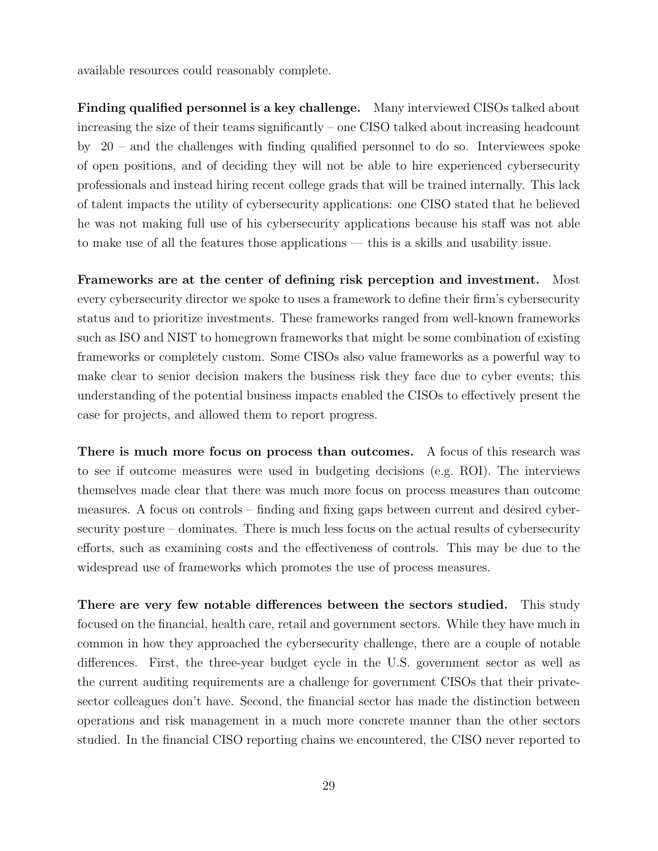available resources could reasonably complete.

Finding qualified personnel is a key challenge. Many interviewed CISOs talked about increasing the size of their teams significantly – one CISO talked about increasing headcount by 20 – and the challenges with finding qualified personnel to do so. Interviewees spoke of open positions, and of deciding they will not be able to hire experienced cybersecurity professionals and instead hiring recent college grads that will be trained internally. This lack of talent impacts the utility of cybersecurity applications: one CISO stated that he believed he was not making full use of his cybersecurity applications because his staff was not able to make use of all the features those applications — this is a skills and usability issue.

Frameworks are at the center of defining risk perception and investment. Most every cybersecurity director we spoke to uses a framework to define their firm's cybersecurity status and to prioritize investments. These frameworks ranged from well-known frameworks such as ISO and NIST to homegrown frameworks that might be some combination of existing frameworks or completely custom. Some CISOs also value frameworks as a powerful way to make clear to senior decision makers the business risk they face due to cyber events; this understanding of the potential business impacts enabled the CISOs to effectively present the case for projects, and allowed them to report progress.

There is much more focus on process than outcomes. A focus of this research was to see if outcome measures were used in budgeting decisions (e.g. ROI). The interviews themselves made clear that there was much more focus on process measures than outcome measures. A focus on controls – finding and fixing gaps between current and desired cybersecurity posture – dominates. There is much less focus on the actual results of cybersecurity efforts, such as examining costs and the effectiveness of controls. This may be due to the widespread use of frameworks which promotes the use of process measures.

There are very few notable differences between the sectors studied. This study focused on the financial, health care, retail and government sectors. While they have much in common in how they approached the cybersecurity challenge, there are a couple of notable differences. First, the three-year budget cycle in the U.S. government sector as well as the current auditing requirements are a challenge for government CISOs that their privatesector colleagues don't have. Second, the financial sector has made the distinction between operations and risk management in a much more concrete manner than the other sectors studied. In the financial CISO reporting chains we encountered, the CISO never reported to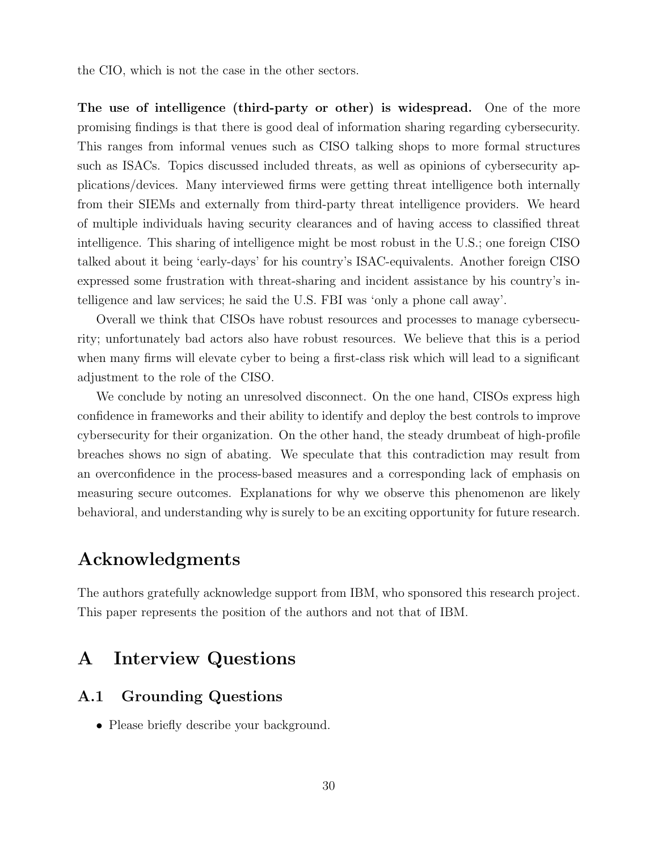the CIO, which is not the case in the other sectors.

The use of intelligence (third-party or other) is widespread. One of the more promising findings is that there is good deal of information sharing regarding cybersecurity. This ranges from informal venues such as CISO talking shops to more formal structures such as ISACs. Topics discussed included threats, as well as opinions of cybersecurity applications/devices. Many interviewed firms were getting threat intelligence both internally from their SIEMs and externally from third-party threat intelligence providers. We heard of multiple individuals having security clearances and of having access to classified threat intelligence. This sharing of intelligence might be most robust in the U.S.; one foreign CISO talked about it being 'early-days' for his country's ISAC-equivalents. Another foreign CISO expressed some frustration with threat-sharing and incident assistance by his country's intelligence and law services; he said the U.S. FBI was 'only a phone call away'.

Overall we think that CISOs have robust resources and processes to manage cybersecurity; unfortunately bad actors also have robust resources. We believe that this is a period when many firms will elevate cyber to being a first-class risk which will lead to a significant adjustment to the role of the CISO.

We conclude by noting an unresolved disconnect. On the one hand, CISOs express high confidence in frameworks and their ability to identify and deploy the best controls to improve cybersecurity for their organization. On the other hand, the steady drumbeat of high-profile breaches shows no sign of abating. We speculate that this contradiction may result from an overconfidence in the process-based measures and a corresponding lack of emphasis on measuring secure outcomes. Explanations for why we observe this phenomenon are likely behavioral, and understanding why is surely to be an exciting opportunity for future research.

# Acknowledgments

The authors gratefully acknowledge support from IBM, who sponsored this research project. This paper represents the position of the authors and not that of IBM.

### A Interview Questions

### A.1 Grounding Questions

• Please briefly describe your background.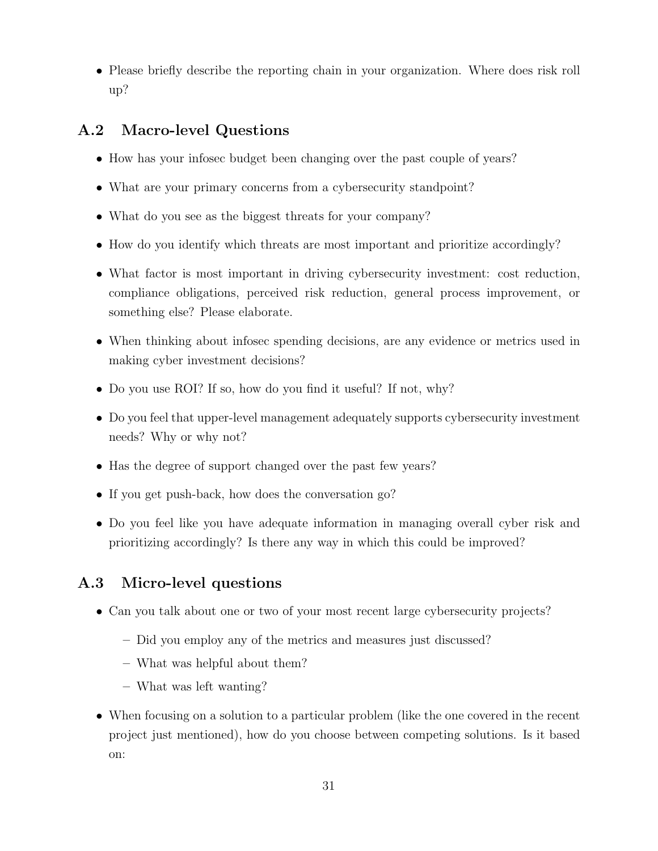• Please briefly describe the reporting chain in your organization. Where does risk roll up?

### A.2 Macro-level Questions

- How has your infosec budget been changing over the past couple of years?
- What are your primary concerns from a cybersecurity standpoint?
- What do you see as the biggest threats for your company?
- How do you identify which threats are most important and prioritize accordingly?
- What factor is most important in driving cybersecurity investment: cost reduction, compliance obligations, perceived risk reduction, general process improvement, or something else? Please elaborate.
- When thinking about infosec spending decisions, are any evidence or metrics used in making cyber investment decisions?
- Do you use ROI? If so, how do you find it useful? If not, why?
- Do you feel that upper-level management adequately supports cybersecurity investment needs? Why or why not?
- Has the degree of support changed over the past few years?
- If you get push-back, how does the conversation go?
- Do you feel like you have adequate information in managing overall cyber risk and prioritizing accordingly? Is there any way in which this could be improved?

### A.3 Micro-level questions

- Can you talk about one or two of your most recent large cybersecurity projects?
	- Did you employ any of the metrics and measures just discussed?
	- What was helpful about them?
	- What was left wanting?
- When focusing on a solution to a particular problem (like the one covered in the recent project just mentioned), how do you choose between competing solutions. Is it based on: